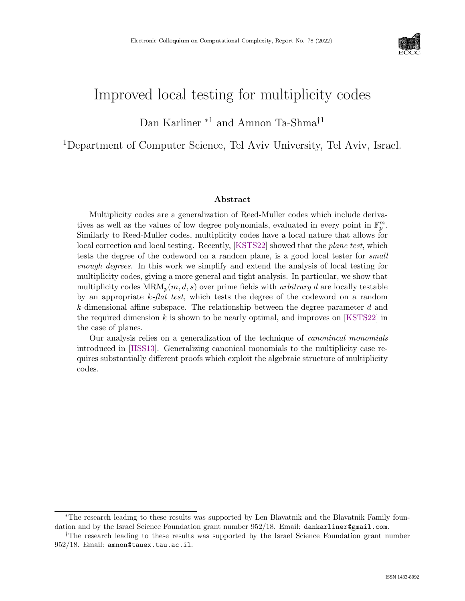

# Improved local testing for multiplicity codes

Dan Karliner <sup>∗</sup><sup>1</sup> and Amnon Ta-Shma†<sup>1</sup>

<sup>1</sup>Department of Computer Science, Tel Aviv University, Tel Aviv, Israel.

#### Abstract

Multiplicity codes are a generalization of Reed-Muller codes which include derivatives as well as the values of low degree polynomials, evaluated in every point in  $\mathbb{F}_p^m$ . Similarly to Reed-Muller codes, multiplicity codes have a local nature that allows for local correction and local testing. Recently, [\[KSTS22\]](#page--1-0) showed that the *plane test*, which tests the degree of the codeword on a random plane, is a good local tester for *small* enough degrees. In this work we simplify and extend the analysis of local testing for multiplicity codes, giving a more general and tight analysis. In particular, we show that multiplicity codes  $MRM_p(m, d, s)$  over prime fields with *arbitrary d* are locally testable by an appropriate  $k$ -flat test, which tests the degree of the codeword on a random  $k$ -dimensional affine subspace. The relationship between the degree parameter  $d$  and the required dimension k is shown to be nearly optimal, and improves on  $[KSTS22]$  in the case of planes.

Our analysis relies on a generalization of the technique of canonincal monomials introduced in [\[HSS13\]](#page--1-1). Generalizing canonical monomials to the multiplicity case requires substantially different proofs which exploit the algebraic structure of multiplicity codes.

<sup>∗</sup>The research leading to these results was supported by Len Blavatnik and the Blavatnik Family foundation and by the Israel Science Foundation grant number 952/18. Email: dankarliner@gmail.com.

<sup>†</sup>The research leading to these results was supported by the Israel Science Foundation grant number 952/18. Email: amnon@tauex.tau.ac.il.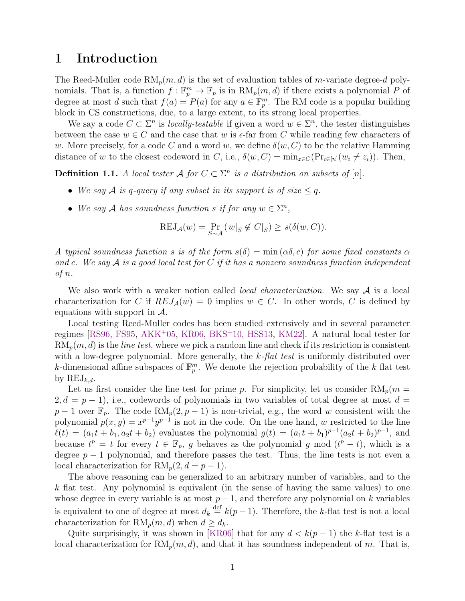### 1 Introduction

The Reed-Muller code  $RM_p(m, d)$  is the set of evaluation tables of m-variate degree-d polynomials. That is, a function  $f : \mathbb{F}_p^m \to \mathbb{F}_p$  is in  $\text{RM}_p(m,d)$  if there exists a polynomial P of degree at most d such that  $f(a) = P(a)$  for any  $a \in \mathbb{F}_p^m$ . The RM code is a popular building block in CS constructions, due, to a large extent, to its strong local properties.

We say a code  $C \subset \Sigma^n$  is *locally-testable* if given a word  $w \in \Sigma^n$ , the tester distinguishes between the case  $w \in C$  and the case that w is  $\epsilon$ -far from C while reading few characters of w. More precisely, for a code C and a word w, we define  $\delta(w, C)$  to be the relative Hamming distance of w to the closest codeword in C, i.e.,  $\delta(w, C) = \min_{z \in C} (\Pr_{i \in [n]} (w_i \neq z_i)).$  Then,

<span id="page-1-0"></span>**Definition 1.1.** A local tester  $\mathcal{A}$  for  $C \subset \Sigma^n$  is a distribution on subsets of  $[n]$ .

- We say A is q-query if any subset in its support is of size  $\leq q$ .
- We say A has soundness function s if for any  $w \in \sum^n$ ,

$$
\text{REJ}_{\mathcal{A}}(w) = \Pr_{S \sim \mathcal{A}} (w|_S \notin C|_S) \ge s(\delta(w, C)).
$$

A typical soundness function s is of the form  $s(\delta) = \min(\alpha \delta, c)$  for some fixed constants  $\alpha$ and c. We say  $A$  is a good local test for C if it has a nonzero soundness function independent of n.

We also work with a weaker notion called *local characterization*. We say  $A$  is a local characterization for C if  $REJ_A(w) = 0$  implies  $w \in C$ . In other words, C is defined by equations with support in  $\mathcal{A}$ .

Local testing Reed-Muller codes has been studied extensively and in several parameter regimes [\[RS96,](#page--1-2) [FS95,](#page--1-3) [AKK](#page-24-0)<sup>+</sup>05, [KR06,](#page--1-4) [BKS](#page-24-1)<sup>+</sup>10, [HSS13,](#page--1-1) [KM22\]](#page--1-5). A natural local tester for  $\mathrm{RM}_p(m, d)$  is the *line test*, where we pick a random line and check if its restriction is consistent with a low-degree polynomial. More generally, the  $k$ -flat test is uniformly distributed over k-dimensional affine subspaces of  $\mathbb{F}_p^m$ . We denote the rejection probability of the k flat test by  $\text{REJ}_{k,d}$ .

Let us first consider the line test for prime p. For simplicity, let us consider  $RM_p(m =$  $2, d = p - 1$ , i.e., codewords of polynomials in two variables of total degree at most  $d =$  $p-1$  over  $\mathbb{F}_p$ . The code  $\text{RM}_p(2, p-1)$  is non-trivial, e.g., the word w consistent with the polynomial  $p(x, y) = x^{p-1}y^{p-1}$  is not in the code. On the one hand, w restricted to the line  $\ell(t) = (a_1t + b_1, a_2t + b_2)$  evaluates the polynomial  $g(t) = (a_1t + b_1)^{p-1}(a_2t + b_2)^{p-1}$ , and because  $t^p = t$  for every  $t \in \mathbb{F}_p$ , g behaves as the polynomial g mod  $(t^p - t)$ , which is a degree  $p-1$  polynomial, and therefore passes the test. Thus, the line tests is not even a local characterization for  $RM<sub>n</sub>(2, d = p - 1)$ .

The above reasoning can be generalized to an arbitrary number of variables, and to the  $k$  flat test. Any polynomial is equivalent (in the sense of having the same values) to one whose degree in every variable is at most  $p-1$ , and therefore any polynomial on k variables is equivalent to one of degree at most  $d_k \stackrel{\text{def}}{=} k(p-1)$ . Therefore, the k-flat test is not a local characterization for  $\mathrm{RM}_p(m, d)$  when  $d \geq d_k$ .

Quite surprisingly, it was shown in [\[KR06\]](#page--1-4) that for any  $d < k(p-1)$  the k-flat test is a local characterization for  $RM_p(m, d)$ , and that it has soundness independent of m. That is,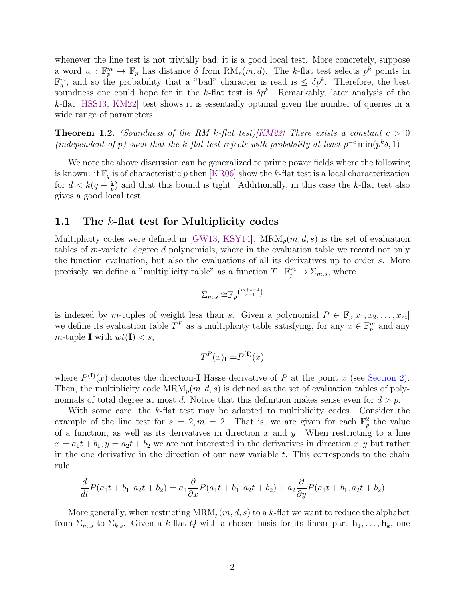whenever the line test is not trivially bad, it is a good local test. More concretely, suppose a word  $w: \mathbb{F}_p^m \to \mathbb{F}_p$  has distance  $\delta$  from  $\mathbb{R}\mathrm{M}_p(m,d)$ . The k-flat test selects  $p^k$  points in  $\mathbb{F}_q^m$ , and so the probability that a "bad" character is read is  $\leq \delta p^k$ . Therefore, the best soundness one could hope for in the k-flat test is  $\delta p^k$ . Remarkably, later analysis of the k-flat [\[HSS13,](#page--1-1) [KM22\]](#page--1-5) test shows it is essentially optimal given the number of queries in a wide range of parameters:

<span id="page-2-0"></span>**Theorem 1.2.** (Soundness of the RM k-flat test)[\[KM22\]](#page--1-5) There exists a constant  $c > 0$ (independent of p) such that the k-flat test rejects with probability at least  $p^{-c}$  min $(p^k\delta, 1)$ 

We note the above discussion can be generalized to prime power fields where the following is known: if  $\mathbb{F}_q$  is of characteristic p then [\[KR06\]](#page--1-4) show the k-flat test is a local characterization for  $d < k(q - \frac{q}{q})$  $\frac{q}{p}$ ) and that this bound is tight. Additionally, in this case the k-flat test also gives a good local test.

### 1.1 The k-flat test for Multiplicity codes

Multiplicity codes were defined in [\[GW13,](#page--1-6) [KSY14\]](#page--1-7). MRM<sub>p</sub> $(m, d, s)$  is the set of evaluation tables of m-variate, degree d polynomials, where in the evaluation table we record not only the function evaluation, but also the evaluations of all its derivatives up to order s. More precisely, we define a "multiplicity table" as a function  $T: \mathbb{F}_p^m \to \Sigma_{m,s}$ , where

$$
\Sigma_{m,s}\cong\mathbb{F}_p^{\binom{m+s-1}{s-1}}
$$

is indexed by m-tuples of weight less than s. Given a polynomial  $P \in \mathbb{F}_p[x_1, x_2, \ldots, x_m]$ we define its evaluation table  $T^P$  as a multiplicity table satisfying, for any  $x \in \mathbb{F}_p^m$  and any m-tuple **I** with  $wt(I) < s$ ,

$$
T^{P}(x)_{I} = P^{(I)}(x)
$$

where  $P^{(I)}(x)$  denotes the direction-I Hasse derivative of P at the point x (see [Section 2\)](#page-11-0). Then, the multiplicity code  $MRM_p(m, d, s)$  is defined as the set of evaluation tables of polynomials of total degree at most d. Notice that this definition makes sense even for  $d > p$ .

With some care, the k-flat test may be adapted to multiplicity codes. Consider the example of the line test for  $s = 2, m = 2$ . That is, we are given for each  $\mathbb{F}_p^2$  the value of a function, as well as its derivatives in direction  $x$  and  $y$ . When restricting to a line  $x = a_1t + b_1, y = a_2t + b_2$  we are not interested in the derivatives in direction x, y but rather in the one derivative in the direction of our new variable  $t$ . This corresponds to the chain rule

$$
\frac{d}{dt}P(a_1t + b_1, a_2t + b_2) = a_1\frac{\partial}{\partial x}P(a_1t + b_1, a_2t + b_2) + a_2\frac{\partial}{\partial y}P(a_1t + b_1, a_2t + b_2)
$$

More generally, when restricting  $MRM_p(m, d, s)$  to a k-flat we want to reduce the alphabet from  $\Sigma_{m,s}$  to  $\Sigma_{k,s}$ . Given a k-flat Q with a chosen basis for its linear part  $\mathbf{h}_1, \ldots, \mathbf{h}_k$ , one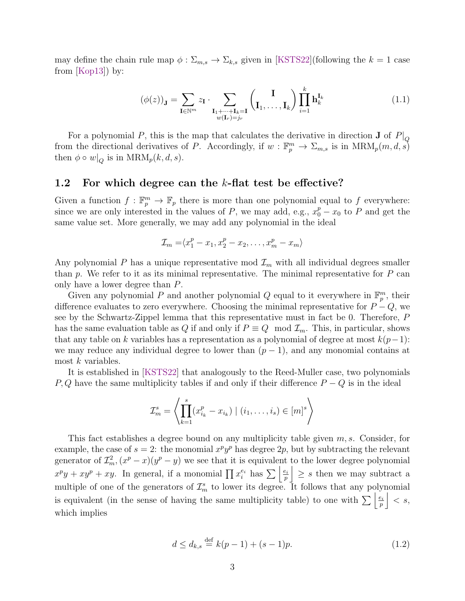may define the chain rule map  $\phi : \Sigma_{m,s} \to \Sigma_{k,s}$  given in [\[KSTS22\]](#page--1-0)(following the  $k = 1$  case from [\[Kop13\]](#page--1-8)) by:

<span id="page-3-1"></span>
$$
(\phi(z))_{\mathbf{J}} = \sum_{\mathbf{I} \in \mathbb{N}^m} z_{\mathbf{I}} \cdot \sum_{\substack{\mathbf{I}_1 + \dots + \mathbf{I}_k = \mathbf{I} \\ w(\mathbf{I}_r) = j_r}} \left(\mathbf{I}_{1, \dots, \mathbf{I}_k}\right) \prod_{i=1}^k \mathbf{h}_k^{\mathbf{I}_k}
$$
(1.1)

For a polynomial P, this is the map that calculates the derivative in direction **J** of  $P|_Q$ from the directional derivatives of P. Accordingly, if  $w : \mathbb{F}_p^m \to \Sigma_{m,s}$  is in  $MRM_p(m,d,s)$ then  $\phi \circ w|_Q$  is in  $MRM_p(k, d, s)$ .

### <span id="page-3-0"></span>1.2 For which degree can the k-flat test be effective?

Given a function  $f: \mathbb{F}_p^m \to \mathbb{F}_p$  there is more than one polynomial equal to f everywhere: since we are only interested in the values of P, we may add, e.g.,  $x_0^p - x_0$  to P and get the same value set. More generally, we may add any polynomial in the ideal

$$
\mathcal{I}_m = \langle x_1^p - x_1, x_2^p - x_2, \dots, x_m^p - x_m \rangle
$$

Any polynomial P has a unique representative mod  $\mathcal{I}_m$  with all individual degrees smaller than  $p$ . We refer to it as its minimal representative. The minimal representative for  $P$  can only have a lower degree than P.

Given any polynomial P and another polynomial Q equal to it everywhere in  $\mathbb{F}_p^m$ , their difference evaluates to zero everywhere. Choosing the minimal representative for  $P - Q$ , we see by the Schwartz-Zippel lemma that this representative must in fact be 0. Therefore, P has the same evaluation table as Q if and only if  $P \equiv Q \mod \mathcal{I}_m$ . This, in particular, shows that any table on k variables has a representation as a polynomial of degree at most  $k(p-1)$ : we may reduce any individual degree to lower than  $(p-1)$ , and any monomial contains at most  $k$  variables.

It is established in [\[KSTS22\]](#page--1-0) that analogously to the Reed-Muller case, two polynomials P, Q have the same multiplicity tables if and only if their difference  $P - Q$  is in the ideal

$$
\mathcal{I}_{m}^{s} = \left\langle \prod_{k=1}^{s} (x_{i_{k}}^{p} - x_{i_{k}}) \mid (i_{1}, \ldots, i_{s}) \in [m]^{s} \right\rangle
$$

This fact establishes a degree bound on any multiplicity table given  $m$ , s. Consider, for example, the case of  $s = 2$ : the monomial  $x^p y^p$  has degree  $2p$ , but by subtracting the relevant generator of  $\mathcal{I}_m^2$ ,  $(x^p - x)(y^p - y)$  we see that it is equivalent to the lower degree polynomial  $x^p y + xy^p + xy$ . In general, if a monomial  $\prod x_i^{e_i}$  has  $\sum \left| \frac{e_i}{p} \right|$  $\left| \frac{e_i}{p} \right| \geq s$  then we may subtract a multiple of one of the generators of  $\mathcal{I}_m^s$  to lower its degree. It follows that any polynomial is equivalent (in the sense of having the same multiplicity table) to one with  $\sum \left| \frac{e_i}{n} \right|$  $\left| \frac{e_i}{p} \right| \, < \, s,$ which implies

$$
d \le d_{k,s} \stackrel{\text{def}}{=} k(p-1) + (s-1)p. \tag{1.2}
$$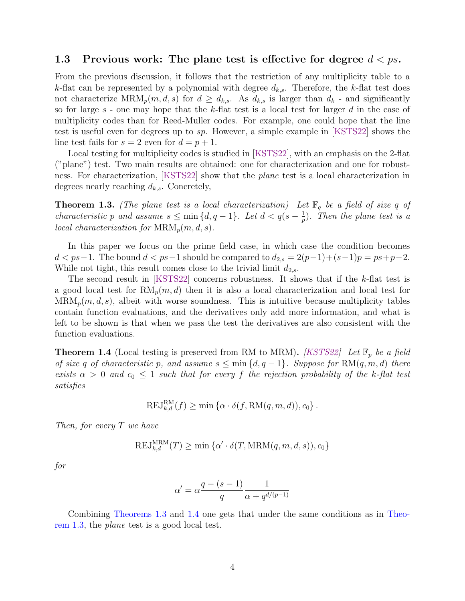### 1.3 Previous work: The plane test is effective for degree  $d < ps$ .

From the previous discussion, it follows that the restriction of any multiplicity table to a k-flat can be represented by a polynomial with degree  $d_{k,s}$ . Therefore, the k-flat test does not characterize  $MRM_p(m, d, s)$  for  $d \geq d_{k,s}$ . As  $d_{k,s}$  is larger than  $d_k$  - and significantly so for large  $s$  - one may hope that the k-flat test is a local test for larger  $d$  in the case of multiplicity codes than for Reed-Muller codes. For example, one could hope that the line test is useful even for degrees up to sp. However, a simple example in  $[KSTS22]$  shows the line test fails for  $s = 2$  even for  $d = p + 1$ .

Local testing for multiplicity codes is studied in [\[KSTS22\]](#page--1-0), with an emphasis on the 2-flat ("plane") test. Two main results are obtained: one for characterization and one for robustness. For characterization, [\[KSTS22\]](#page--1-0) show that the plane test is a local characterization in degrees nearly reaching  $d_{k,s}$ . Concretely,

<span id="page-4-0"></span>**Theorem 1.3.** (The plane test is a local characterization) Let  $\mathbb{F}_q$  be a field of size q of characteristic p and assume  $s \leq \min\{d, q-1\}$ . Let  $d < q(s-\frac{1}{n})$  $(\frac{1}{p})$ . Then the plane test is a local characterization for  $\text{MRM}_p(m,d,s)$ .

In this paper we focus on the prime field case, in which case the condition becomes  $d < ps-1$ . The bound  $d < ps-1$  should be compared to  $d_{2,s} = 2(p-1)+(s-1)p = ps+p-2$ . While not tight, this result comes close to the trivial limit  $d_{2,s}$ .

The second result in [\[KSTS22\]](#page--1-0) concerns robustness. It shows that if the k-flat test is a good local test for  $RM_p(m, d)$  then it is also a local characterization and local test for  $MRM_n(m, d, s)$ , albeit with worse soundness. This is intuitive because multiplicity tables contain function evaluations, and the derivatives only add more information, and what is left to be shown is that when we pass the test the derivatives are also consistent with the function evaluations.

<span id="page-4-1"></span>**Theorem 1.4** (Local testing is preserved from RM to MRM). [\[KSTS22\]](#page--1-0) Let  $\mathbb{F}_p$  be a field of size q of characteristic p, and assume  $s \leq \min\{d, q-1\}$ . Suppose for RM $(q, m, d)$  there exists  $\alpha > 0$  and  $c_0 \leq 1$  such that for every f the rejection probability of the k-flat test satisfies

$$
\text{REJ}_{k,d}^{\text{RM}}(f) \ge \min \left\{ \alpha \cdot \delta(f, \text{RM}(q, m, d)), c_0 \right\}.
$$

Then, for every  $T$  we have

$$
\operatorname{REJ}^{\operatorname{MRM}}_{k,d}(T) \ge \min \left\{ \alpha' \cdot \delta(T, \operatorname{MRM}(q, m, d, s)), c_0 \right\}
$$

for

$$
\alpha' = \alpha \frac{q - (s - 1)}{q} \frac{1}{\alpha + q^{d/(p-1)}}
$$

Combining [Theorems 1.3](#page-4-0) and [1.4](#page-4-1) one gets that under the same conditions as in [Theo](#page-4-0)[rem 1.3,](#page-4-0) the plane test is a good local test.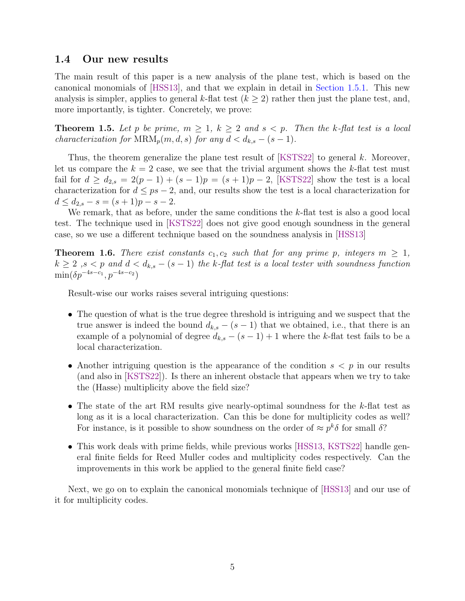### 1.4 Our new results

The main result of this paper is a new analysis of the plane test, which is based on the canonical monomials of [\[HSS13\]](#page--1-1), and that we explain in detail in [Section 1.5.1.](#page-6-0) This new analysis is simpler, applies to general k-flat test  $(k \geq 2)$  rather then just the plane test, and, more importantly, is tighter. Concretely, we prove:

<span id="page-5-0"></span>**Theorem 1.5.** Let p be prime,  $m \geq 1$ ,  $k \geq 2$  and  $s < p$ . Then the k-flat test is a local characterization for  $\text{MRM}_p(m, d, s)$  for any  $d < d_{k,s} - (s - 1)$ .

Thus, the theorem generalize the plane test result of  $[KSTS22]$  to general k. Moreover, let us compare the  $k = 2$  case, we see that the trivial argument shows the k-flat test must fail for  $d \geq d_{2,s} = 2(p-1) + (s-1)p = (s+1)p - 2$ , [\[KSTS22\]](#page--1-0) show the test is a local characterization for  $d \leq ps - 2$ , and, our results show the test is a local characterization for  $d \leq d_{2,s} - s = (s+1)p - s - 2.$ 

We remark, that as before, under the same conditions the  $k$ -flat test is also a good local test. The technique used in [\[KSTS22\]](#page--1-0) does not give good enough soundness in the general case, so we use a different technique based on the soundness analysis in [\[HSS13\]](#page--1-1)

<span id="page-5-1"></span>**Theorem 1.6.** There exist constants  $c_1, c_2$  such that for any prime p, integers  $m \geq 1$ ,  $k \geq 2$ ,  $s < p$  and  $d < d_{k,s} - (s-1)$  the k-flat test is a local tester with soundness function  $\min(\delta p^{-4s-c_1}, p^{-4s-c_2})$ 

Result-wise our works raises several intriguing questions:

- The question of what is the true degree threshold is intriguing and we suspect that the true answer is indeed the bound  $d_{k,s} - (s-1)$  that we obtained, i.e., that there is an example of a polynomial of degree  $d_{k,s} - (s-1) + 1$  where the k-flat test fails to be a local characterization.
- Another intriguing question is the appearance of the condition  $s < p$  in our results (and also in [\[KSTS22\]](#page--1-0)). Is there an inherent obstacle that appears when we try to take the (Hasse) multiplicity above the field size?
- The state of the art RM results give nearly-optimal soundness for the  $k$ -flat test as long as it is a local characterization. Can this be done for multiplicity codes as well? For instance, is it possible to show soundness on the order of  $\approx p^k \delta$  for small  $\delta$ ?
- This work deals with prime fields, while previous works [\[HSS13,](#page--1-1) [KSTS22\]](#page--1-0) handle general finite fields for Reed Muller codes and multiplicity codes respectively. Can the improvements in this work be applied to the general finite field case?

Next, we go on to explain the canonical monomials technique of [\[HSS13\]](#page--1-1) and our use of it for multiplicity codes.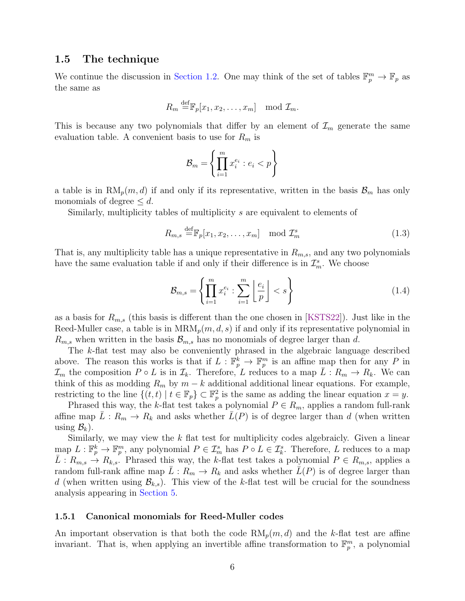### <span id="page-6-1"></span>1.5 The technique

We continue the discussion in [Section 1.2.](#page-3-0) One may think of the set of tables  $\mathbb{F}_p^m \to \mathbb{F}_p$  as the same as

$$
R_m \stackrel{\text{def}}{=} \mathbb{F}_p[x_1, x_2, \dots, x_m] \mod \mathcal{I}_m.
$$

This is because any two polynomials that differ by an element of  $\mathcal{I}_m$  generate the same evaluation table. A convenient basis to use for  $R_m$  is

$$
\mathcal{B}_m = \left\{ \prod_{i=1}^m x_i^{e_i} : e_i < p \right\}
$$

a table is in  $\mathbb{R}\mathrm{M}_p(m,d)$  if and only if its representative, written in the basis  $\mathcal{B}_m$  has only monomials of degree  $\leq d$ .

Similarly, multiplicity tables of multiplicity s are equivalent to elements of

$$
R_{m,s} \stackrel{\text{def}}{=} \mathbb{F}_p[x_1, x_2, \dots, x_m] \mod \mathcal{I}_m^s \tag{1.3}
$$

That is, any multiplicity table has a unique representative in  $R_{m,s}$ , and any two polynomials have the same evaluation table if and only if their difference is in  $\mathcal{I}_{m}^{s}$ . We choose

$$
\mathcal{B}_{m,s} = \left\{ \prod_{i=1}^{m} x_i^{e_i} : \sum_{i=1}^{m} \left\lfloor \frac{e_i}{p} \right\rfloor < s \right\} \tag{1.4}
$$

as a basis for  $R_{m,s}$  (this basis is different than the one chosen in [\[KSTS22\]](#page--1-0)). Just like in the Reed-Muller case, a table is in  $MRM_p(m, d, s)$  if and only if its representative polynomial in  $R_{m,s}$  when written in the basis  $\mathcal{B}_{m,s}$  has no monomials of degree larger than d.

The k-flat test may also be conveniently phrased in the algebraic language described above. The reason this works is that if  $L : \mathbb{F}_p^k \to \mathbb{F}_p^m$  is an affine map then for any P in  $\mathcal{I}_m$  the composition  $P \circ L$  is in  $\mathcal{I}_k$ . Therefore, L reduces to a map  $\overline{L}: R_m \to R_k$ . We can think of this as modding  $R_m$  by  $m - k$  additional additional linear equations. For example, restricting to the line  $\{(t,t) | t \in \mathbb{F}_p\} \subset \mathbb{F}_p^2$  is the same as adding the linear equation  $x = y$ .

Phrased this way, the k-flat test takes a polynomial  $P \in R_m$ , applies a random full-rank affine map  $L : R_m \to R_k$  and asks whether  $L(P)$  is of degree larger than d (when written using  $\mathcal{B}_k$ ).

Similarly, we may view the  $k$  flat test for multiplicity codes algebraicly. Given a linear map  $L: \mathbb{F}_p^k \to \mathbb{F}_p^m$ , any polynomial  $P \in \mathcal{I}_m^s$  has  $P \circ L \in \mathcal{I}_k^s$ . Therefore, L reduces to a map  $L: R_{m,s} \to R_{k,s}$ . Phrased this way, the k-flat test takes a polynomial  $P \in R_{m,s}$ , applies a random full-rank affine map  $\bar{L}: R_m \to R_k$  and asks whether  $\bar{L}(P)$  is of degree larger than d (when written using  $\mathcal{B}_{k,s}$ ). This view of the k-flat test will be crucial for the soundness analysis appearing in [Section 5.](#page-22-0)

#### <span id="page-6-0"></span>1.5.1 Canonical monomials for Reed-Muller codes

An important observation is that both the code  $RM_p(m, d)$  and the k-flat test are affine invariant. That is, when applying an invertible affine transformation to  $\mathbb{F}_p^m$ , a polynomial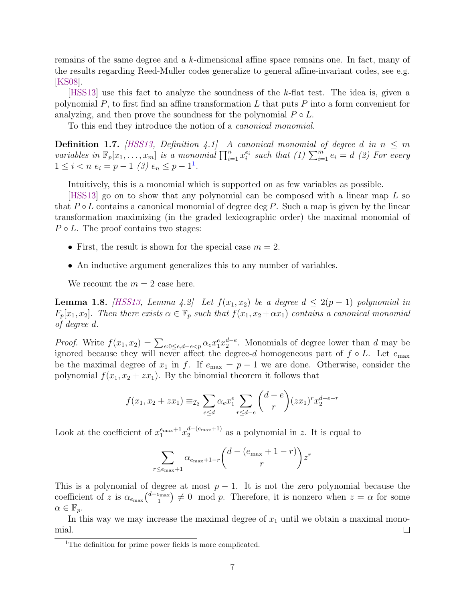remains of the same degree and a k-dimensional affine space remains one. In fact, many of the results regarding Reed-Muller codes generalize to general affine-invariant codes, see e.g. [\[KS08\]](#page--1-9).

[\[HSS13\]](#page--1-1) use this fact to analyze the soundness of the k-flat test. The idea is, given a polynomial  $P$ , to first find an affine transformation  $L$  that puts  $P$  into a form convenient for analyzing, and then prove the soundness for the polynomial  $P \circ L$ .

To this end they introduce the notion of a *canonical monomial*.

**Definition 1.7.** [\[HSS13,](#page--1-1) Definition 4.1] A canonical monomial of degree d in  $n \leq m$ variables in  $\mathbb{F}_p[x_1,\ldots,x_m]$  is a monomial  $\prod_{i=1}^n x_i^{e_i}$  such that (1)  $\sum_{i=1}^m e_i = d$  (2) For every  $1 \leq i < n$  $1 \leq i < n$   $e_i = p - 1$  (3)  $e_n \leq p - 1^1$ .

Intuitively, this is a monomial which is supported on as few variables as possible.

[\[HSS13\]](#page--1-1) go on to show that any polynomial can be composed with a linear map L so that  $P \circ L$  contains a canonical monomial of degree deg P. Such a map is given by the linear transformation maximizing (in the graded lexicographic order) the maximal monomial of  $P \circ L$ . The proof contains two stages:

- First, the result is shown for the special case  $m = 2$ .
- An inductive argument generalizes this to any number of variables.

We recount the  $m = 2$  case here.

<span id="page-7-1"></span>**Lemma 1.8.** [\[HSS13,](#page--1-1) Lemma 4.2] Let  $f(x_1, x_2)$  be a degree  $d \leq 2(p-1)$  polynomial in  $F_p[x_1, x_2]$ . Then there exists  $\alpha \in \mathbb{F}_p$  such that  $f(x_1, x_2 + \alpha x_1)$  contains a canonical monomial of degree d.

*Proof.* Write  $f(x_1, x_2) = \sum_{e: 0 \leq e, d-e \leq p} \alpha_e x_1^e x_2^{d-e}$ . Monomials of degree lower than d may be ignored because they will never affect the degree-d homogeneous part of  $f \circ L$ . Let  $e_{\text{max}}$ be the maximal degree of  $x_1$  in f. If  $e_{\text{max}} = p - 1$  we are done. Otherwise, consider the polynomial  $f(x_1, x_2 + zx_1)$ . By the binomial theorem it follows that

$$
f(x_1, x_2 + zx_1) \equiv_{\mathcal{I}_2} \sum_{e \le d} \alpha_e x_1^e \sum_{r \le d - e} \binom{d - e}{r} (zx_1)^r x_2^{d - e - r}
$$

Look at the coefficient of  $x_1^{e_{\text{max}}+1}x_2^{d-(e_{\text{max}}+1)}$  $a^{-\left(e_{\text{max}}+1\right)}$  as a polynomial in z. It is equal to

$$
\sum_{r \le e_{\max}+1} \alpha_{e_{\max}+1-r} {d-(e_{\max}+1-r) \choose r} z^r
$$

This is a polynomial of degree at most  $p-1$ . It is not the zero polynomial because the coefficient of z is  $\alpha_{e_{\text{max}}} \binom{d-e_{\text{max}}}{1}$  $\binom{e_{\text{max}}}{1} \neq 0 \mod p$ . Therefore, it is nonzero when  $z = \alpha$  for some  $\alpha \in \mathbb{F}_p$ .

In this way we may increase the maximal degree of  $x_1$  until we obtain a maximal monomial.  $\Box$ 

<span id="page-7-0"></span><sup>&</sup>lt;sup>1</sup>The definition for prime power fields is more complicated.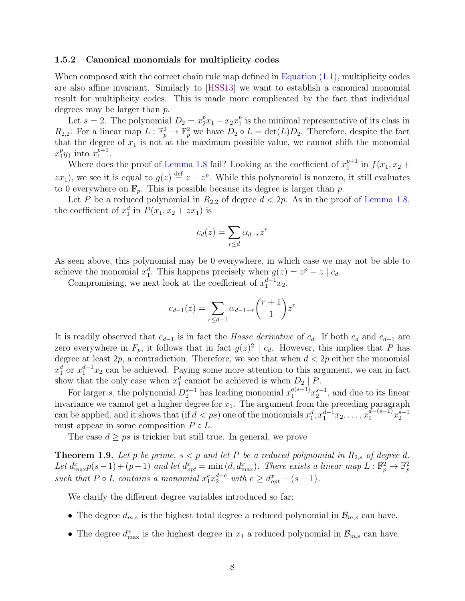#### 1.5.2 Canonical monomials for multiplicity codes

When composed with the correct chain rule map defined in [Equation \(1.1\),](#page-3-1) multiplicity codes are also affine invariant. Similarly to [\[HSS13\]](#page--1-1) we want to establish a canonical monomial result for multiplicity codes. This is made more complicated by the fact that individual degrees may be larger than p.

Let  $s = 2$ . The polynomial  $D_2 = x_2^p x_1 - x_2 x_1^p$  $_1^p$  is the minimal representative of its class in  $R_{2,2}$ . For a linear map  $L: \mathbb{F}_p^2 \to \mathbb{F}_p^2$  we have  $D_2 \circ L = \det(L)D_2$ . Therefore, despite the fact that the degree of  $x_1$  is not at the maximum possible value, we cannot shift the monomial  $x_1^p$  $y_1$  into  $x_1^{p+1}$  $_{1}^{p+1}$ .

Where does the proof of [Lemma 1.8](#page-7-1) fail? Looking at the coefficient of  $x_1^{p+1}$  $j_1^{p+1}$  in  $f(x_1, x_2 +$  $(zx_1)$ , we see it is equal to  $g(z) \stackrel{\text{def}}{=} z - z^p$ . While this polynomial is nonzero, it still evaluates to 0 everywhere on  $\mathbb{F}_p$ . This is possible because its degree is larger than p.

Let P be a reduced polynomial in  $R_{2,2}$  of degree  $d < 2p$ . As in the proof of [Lemma 1.8,](#page-7-1) the coefficient of  $x_1^d$  in  $P(x_1, x_2 + zx_1)$  is

$$
c_d(z) = \sum_{r \le d} \alpha_{d-r} z^r
$$

As seen above, this polynomial may be 0 everywhere, in which case we may not be able to achieve the monomial  $x_1^d$ . This happens precisely when  $g(z) = z^p - z \mid c_d$ .

Compromising, we next look at the coefficient of  $x_1^{d-1}x_2$ .

$$
c_{d-1}(z) = \sum_{r \le d-1} \alpha_{d-1-r} {r+1 \choose 1} z^r
$$

It is readily observed that  $c_{d-1}$  is in fact the *Hasse derivative* of  $c_d$ . If both  $c_d$  and  $c_{d-1}$  are zero everywhere in  $F_p$ , it follows that in fact  $g(z)^2 \mid c_d$ . However, this implies that P has degree at least  $2p$ , a contradiction. Therefore, we see that when  $d < 2p$  either the monomial  $x_1^d$  or  $x_1^{d-1}x_2$  can be achieved. Paying some more attention to this argument, we can in fact show that the only case when  $x_1^d$  cannot be achieved is when  $D_2 \mid P$ .

For larger s, the polynomial  $D_2^{s-1}$  has leading monomial  $x_1^{q(s-1)}x_2^{s-1}$ , and due to its linear invariance we cannot get a higher degree for  $x_1$ . The argument from the preceding paragraph can be applied, and it shows that (if  $d < ps$ ) one of the monomials  $x_1^d, x_1^{d-1}x_2, \ldots, x_1^{d-(s-1)}x_2^{s-1}$ must appear in some composition  $P \circ L$ .

The case  $d \geq ps$  is trickier but still true. In general, we prove

<span id="page-8-0"></span>**Theorem 1.9.** Let p be prime,  $s < p$  and let P be a reduced polynomial in  $R_{2,s}$  of degree d. Let  $d_{\max}^x p(s-1) + (p-1)$  and let  $d_{opt}^x = \min (d, d_{\max}^x)$ . There exists a linear map  $L : \mathbb{F}_p^2 \to \mathbb{F}_p^2$ such that  $P \circ L$  contains a monomial  $x_1^e x_2^{d-e}$  with  $e \geq d_{opt}^x - (s-1)$ .

We clarify the different degree variables introduced so far:

- The degree  $d_{m,s}$  is the highest total degree a reduced polynomial in  $\mathcal{B}_{m,s}$  can have.
- The degree  $d_{\max}^x$  is the highest degree in  $x_1$  a reduced polynomial in  $\mathcal{B}_{m,s}$  can have.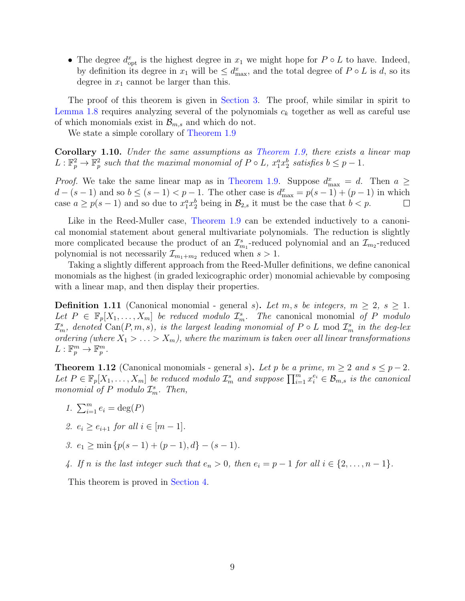• The degree  $d_{\text{opt}}^x$  is the highest degree in  $x_1$  we might hope for  $P \circ L$  to have. Indeed, by definition its degree in  $x_1$  will be  $\leq d_{\text{max}}^x$ , and the total degree of  $P \circ L$  is d, so its degree in  $x_1$  cannot be larger than this.

The proof of this theorem is given in [Section 3.](#page-15-0) The proof, while similar in spirit to [Lemma 1.8](#page-7-1) requires analyzing several of the polynomials  $c_k$  together as well as careful use of which monomials exist in  $\mathcal{B}_{m,s}$  and which do not.

We state a simple corollary of [Theorem 1.9](#page-8-0)

Corollary 1.10. Under the same assumptions as [Theorem 1.9,](#page-8-0) there exists a linear map  $L: \mathbb{F}_p^2 \to \mathbb{F}_p^2$  such that the maximal monomial of  $P \circ L$ ,  $x_1^a x_2^b$  satisfies  $b \leq p-1$ .

*Proof.* We take the same linear map as in [Theorem 1.9.](#page-8-0) Suppose  $d_{\text{max}}^x = d$ . Then  $a \geq$  $d-(s-1)$  and so  $b \leq (s-1) < p-1$ . The other case is  $d_{\max}^x = p(s-1) + (p-1)$  in which case  $a \ge p(s-1)$  and so due to  $x_1^a x_2^b$  being in  $\mathcal{B}_{2,s}$  it must be the case that  $b < p$ .

Like in the Reed-Muller case, [Theorem 1.9](#page-8-0) can be extended inductively to a canonical monomial statement about general multivariate polynomials. The reduction is slightly more complicated because the product of an  $\mathcal{I}_{m_1}^s$ -reduced polynomial and an  $\mathcal{I}_{m_2}$ -reduced polynomial is not necessarily  $\mathcal{I}_{m_1+m_2}$  reduced when  $s>1$ .

Taking a slightly different approach from the Reed-Muller definitions, we define canonical monomials as the highest (in graded lexicographic order) monomial achievable by composing with a linear map, and then display their properties.

**Definition 1.11** (Canonical monomial - general s). Let m, s be integers,  $m > 2$ ,  $s > 1$ . Let  $P \in \mathbb{F}_p[X_1,\ldots,X_m]$  be reduced modulo  $\mathcal{I}_m^s$ . The canonical monomial of P modulo  $\mathcal{I}_{m}^{s}$ , denoted  $\text{Can}(P,m,s)$ , is the largest leading monomial of  $P \circ L$  mod  $\mathcal{I}_{m}^{s}$  in the deg-lex ordering (where  $X_1 > \ldots > X_m$ ), where the maximum is taken over all linear transformations  $L: \mathbb{F}_p^m \to \mathbb{F}_p^m$ .

<span id="page-9-0"></span>**Theorem 1.12** (Canonical monomials - general s). Let p be a prime,  $m \ge 2$  and  $s \le p-2$ . Let  $P \in \mathbb{F}_p[X_1,\ldots,X_m]$  be reduced modulo  $\mathcal{I}_m^s$  and suppose  $\prod_{i=1}^m x_i^{e_i} \in \mathcal{B}_{m,s}$  is the canonical monomial of P modulo  $\mathcal{I}_m^s$ . Then,

- 1.  $\sum_{i=1}^{m} e_i = \deg(P)$
- 2.  $e_i > e_{i+1}$  for all  $i \in [m-1]$ .
- 3.  $e_1 > \min \{p(s-1) + (p-1), d\} (s-1).$
- 4. If n is the last integer such that  $e_n > 0$ , then  $e_i = p 1$  for all  $i \in \{2, ..., n 1\}$ .

This theorem is proved in [Section 4.](#page-18-0)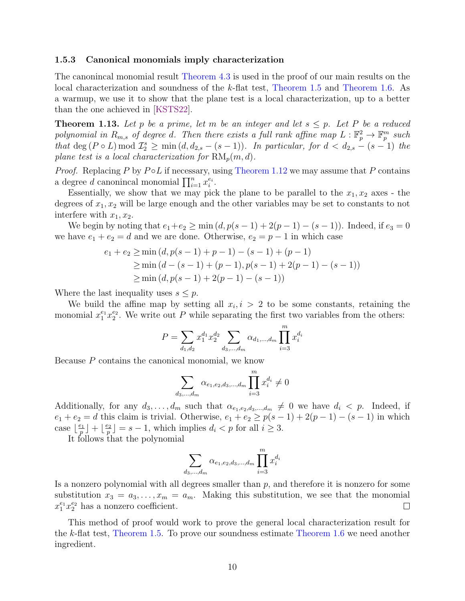#### 1.5.3 Canonical monomials imply characterization

The canonincal monomial result [Theorem 4.3](#page-19-0) is used in the proof of our main results on the local characterization and soundness of the k-flat test, [Theorem 1.5](#page-5-0) and [Theorem 1.6.](#page-5-1) As a warmup, we use it to show that the plane test is a local characterization, up to a better than the one achieved in [\[KSTS22\]](#page--1-0).

**Theorem 1.13.** Let p be a prime, let m be an integer and let  $s \leq p$ . Let P be a reduced polynomial in  $R_{m,s}$  of degree d. Then there exists a full rank affine map  $L: \mathbb{F}_p^2 \to \mathbb{F}_p^m$  such that  $\deg(P \circ L) \mod \mathcal{I}_2^s \geq \min\left(d, d_{2,s} - (s-1)\right)$ . In particular, for  $d < d_{2,s} - (s-1)$  the plane test is a local characterization for  $\text{RM}_p(m, d)$ .

*Proof.* Replacing P by  $P \circ L$  if necessary, using [Theorem 1.12](#page-9-0) we may assume that P contains a degree *d* canonincal monomial  $\prod_{i=1}^{n} x_i^{e_i}$ .

Essentially, we show that we may pick the plane to be parallel to the  $x_1, x_2$  axes - the degrees of  $x_1, x_2$  will be large enough and the other variables may be set to constants to not interfere with  $x_1, x_2$ .

We begin by noting that  $e_1+e_2 \ge \min{(d, p(s-1)+2(p-1)-(s-1))}$ . Indeed, if  $e_3 = 0$ we have  $e_1 + e_2 = d$  and we are done. Otherwise,  $e_2 = p - 1$  in which case

$$
e_1 + e_2 \ge \min (d, p(s - 1) + p - 1) - (s - 1) + (p - 1)
$$
  
\n
$$
\ge \min (d - (s - 1) + (p - 1), p(s - 1) + 2(p - 1) - (s - 1))
$$
  
\n
$$
\ge \min (d, p(s - 1) + 2(p - 1) - (s - 1))
$$

Where the last inequality uses  $s \leq p$ .

We build the affine map by setting all  $x_i, i > 2$  to be some constants, retaining the monomial  $x_1^{e_1}x_2^{e_2}$ . We write out P while separating the first two variables from the others:

$$
P = \sum_{d_1, d_2} x_1^{d_1} x_2^{d_2} \sum_{d_3, \dots, d_m} \alpha_{d_1, \dots, d_m} \prod_{i=3}^m x_i^{d_i}
$$

Because P contains the canonical monomial, we know

$$
\sum_{d_3,\dots,d_m} \alpha_{e_1,e_2,d_3,\dots,d_m} \prod_{i=3}^m x_i^{d_i} \neq 0
$$

Additionally, for any  $d_3, \ldots, d_m$  such that  $\alpha_{e_1,e_2,d_3,\ldots,d_m} \neq 0$  we have  $d_i < p$ . Indeed, if  $e_1 + e_2 = d$  this claim is trivial. Otherwise,  $e_1 + e_2 \ge p(s-1) + 2(p-1) - (s-1)$  in which case  $\frac{e_1}{n}$  $\left\lfloor\frac{e_1}{p}\right\rfloor+\left\lfloor\frac{e_2}{p}\right\rfloor$  $\lfloor \frac{p_2}{p} \rfloor = s - 1$ , which implies  $d_i < p$  for all  $i \geq 3$ .

It follows that the polynomial

$$
\sum_{d_3,...,d_m} \alpha_{e_1,e_2,d_3,...,d_m} \prod_{i=3}^m x_i^{d_i}
$$

Is a nonzero polynomial with all degrees smaller than  $p$ , and therefore it is nonzero for some substitution  $x_3 = a_3, \ldots, x_m = a_m$ . Making this substitution, we see that the monomial  $x_1^{e_1} x_2^{e_2}$  has a nonzero coefficient.  $\Box$ 

This method of proof would work to prove the general local characterization result for the k-flat test, [Theorem 1.5.](#page-5-0) To prove our soundness estimate [Theorem 1.6](#page-5-1) we need another ingredient.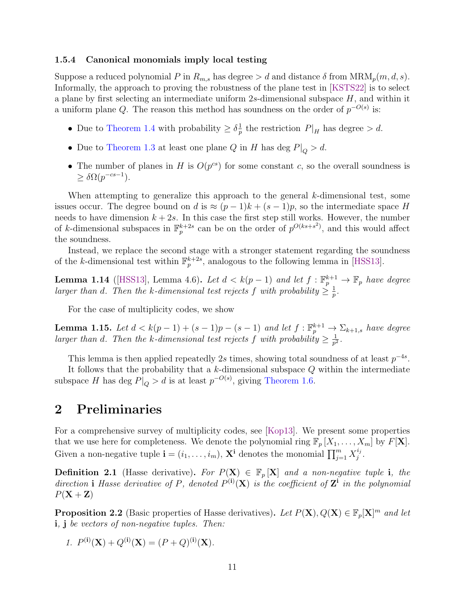#### 1.5.4 Canonical monomials imply local testing

Suppose a reduced polynomial P in  $R_{m,s}$  has degree  $> d$  and distance  $\delta$  from  $MRM_p(m, d, s)$ . Informally, the approach to proving the robustness of the plane test in [\[KSTS22\]](#page--1-0) is to select a plane by first selecting an intermediate uniform  $2s$ -dimensional subspace  $H$ , and within it a uniform plane Q. The reason this method has soundness on the order of  $p^{-O(s)}$  is:

- Due to [Theorem 1.4](#page-4-1) with probability  $\geq \delta \frac{1}{n}$  $\frac{1}{p}$  the restriction  $P|_H$  has degree  $> d$ .
- Due to [Theorem 1.3](#page-4-0) at least one plane Q in H has deg  $P|_Q > d$ .
- The number of planes in H is  $O(p^{cs})$  for some constant c, so the overall soundness is  $\geq \delta\Omega(p^{-cs-1}).$

When attempting to generalize this approach to the general k-dimensional test, some issues occur. The degree bound on d is  $\approx (p-1)k + (s-1)p$ , so the intermediate space H needs to have dimension  $k + 2s$ . In this case the first step still works. However, the number of k-dimensional subspaces in  $\mathbb{F}_p^{k+2s}$  can be on the order of  $p^{O(ks+s^2)}$ , and this would affect the soundness.

Instead, we replace the second stage with a stronger statement regarding the soundness of the k-dimensional test within  $\mathbb{F}_p^{k+2s}$ , analogous to the following lemma in [\[HSS13\]](#page--1-1).

**Lemma 1.14** ([\[HSS13\]](#page--1-1), Lemma 4.6). Let  $d < k(p-1)$  and let  $f : \mathbb{F}_p^{k+1} \to \mathbb{F}_p$  have degree larger than d. Then the k-dimensional test rejects f with probability  $\geq \frac{1}{n}$  $\frac{1}{p}$  .

For the case of multiplicity codes, we show

**Lemma 1.15.** Let  $d < k(p-1) + (s-1)p - (s-1)$  and let  $f : \mathbb{F}_p^{k+1} \to \Sigma_{k+1,s}$  have degree larger than d. Then the k-dimensional test rejects f with probability  $\geq \frac{1}{n^2}$  $\frac{1}{p^2}$  .

This lemma is then applied repeatedly 2s times, showing total soundness of at least  $p^{-4s}$ .

It follows that the probability that a  $k$ -dimensional subspace  $Q$  within the intermediate subspace H has deg  $P|_Q > d$  is at least  $p^{-O(s)}$ , giving [Theorem 1.6.](#page-5-1)

## <span id="page-11-0"></span>2 Preliminaries

For a comprehensive survey of multiplicity codes, see [\[Kop13\]](#page--1-8). We present some properties that we use here for completeness. We denote the polynomial ring  $\mathbb{F}_p [X_1, \ldots, X_m]$  by  $F[\mathbf{X}]$ . Given a non-negative tuple  $\mathbf{i} = (i_1, \ldots, i_m)$ ,  $\mathbf{X}^{\mathbf{i}}$  denotes the monomial  $\prod_{j=1}^m X_j^{i_j}$  $\frac{i_j}{j}$  .

**Definition 2.1** (Hasse derivative). For  $P(X) \in \mathbb{F}_p[X]$  and a non-negative tuple i, the direction **i** Hasse derivative of P, denoted  $P^{(i)}(\mathbf{X})$  is the coefficient of  $\mathbf{Z}^i$  in the polynomial  $P(X + Z)$ 

<span id="page-11-1"></span>**Proposition 2.2** (Basic properties of Hasse derivatives). Let  $P(X)$ ,  $Q(X) \in \mathbb{F}_p[X]^m$  and let i, j be vectors of non-negative tuples. Then:

1.  $P^{(i)}(\mathbf{X}) + Q^{(i)}(\mathbf{X}) = (P+Q)^{(i)}(\mathbf{X}).$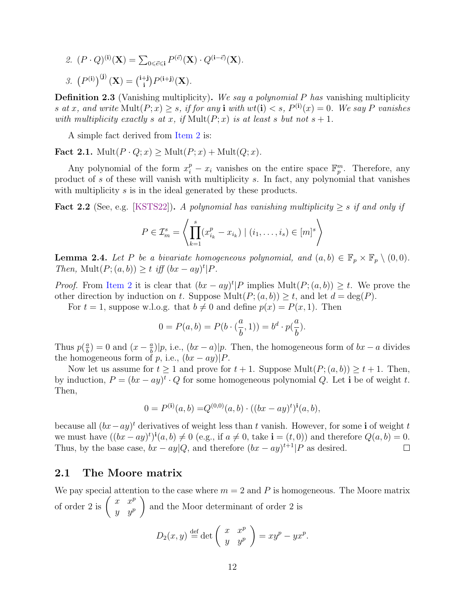- <span id="page-12-0"></span>2.  $(P \cdot Q)^{(\mathbf{i})}(\mathbf{X}) = \sum_{0 \leqslant \vec{e} \leqslant \mathbf{i}} P^{(\vec{e})}(\mathbf{X}) \cdot Q^{(\mathbf{i} - \vec{e})}(\mathbf{X}).$
- 3.  $(P^{(i)})^{(j)}(\mathbf{X}) = {^{(i+j)}_{;}}$  $j^{\dagger}$ j $P^{(\mathbf{i}+\mathbf{j})}(\mathbf{X}).$

Definition 2.3 (Vanishing multiplicity). We say a polynomial P has vanishing multiplicity s at x, and write  $\text{Mult}(P; x) \geq s$ , if for any i with  $wt(i) < s$ ,  $P^{(i)}(x) = 0$ . We say P vanishes with multiplicity exactly s at x, if  $Mult(P; x)$  is at least s but not  $s + 1$ .

A simple fact derived from [Item 2](#page-12-0) is:

Fact 2.1.  $\text{Mult}(P \cdot Q; x) \ge \text{Mult}(P; x) + \text{Mult}(Q; x)$ .

Any polynomial of the form  $x_i^p - x_i$  vanishes on the entire space  $\mathbb{F}_p^m$ . Therefore, any product of s of these will vanish with multiplicity s. In fact, any polynomial that vanishes with multiplicity s is in the ideal generated by these products.

**Fact 2.2** (See, e.g. [\[KSTS22\]](#page--1-0)). A polynomial has vanishing multiplicity  $\geq s$  if and only if

$$
P \in \mathcal{I}_m^s = \left\langle \prod_{k=1}^s (x_{i_k}^p - x_{i_k}) \mid (i_1, \dots, i_s) \in [m]^s \right\rangle
$$

<span id="page-12-1"></span>**Lemma 2.4.** Let P be a bivariate homogeneous polynomial, and  $(a, b) \in \mathbb{F}_p \times \mathbb{F}_p \setminus (0, 0)$ . Then, Mult $(P; (a, b)) \geq t$  iff  $(bx - ay)^t$ .

*Proof.* From [Item 2](#page-12-0) it is clear that  $(bx - ay)^t$  |P implies Mult $(P; (a, b)) \ge t$ . We prove the other direction by induction on t. Suppose  $Mult(P; (a, b)) \geq t$ , and let  $d = deg(P)$ .

For  $t = 1$ , suppose w.l.o.g. that  $b \neq 0$  and define  $p(x) = P(x, 1)$ . Then

$$
0 = P(a, b) = P(b \cdot (\frac{a}{b}, 1)) = b^d \cdot p(\frac{a}{b}).
$$

Thus  $p(\frac{a}{b})$  $\frac{a}{b}$ ) = 0 and  $\left(x - \frac{a}{b}\right)$  $\frac{a}{b}$ )|p, i.e.,  $(bx - a)$ |p. Then, the homogeneous form of  $bx - a$  divides the homogeneous form of p, i.e.,  $(bx - ay)|P$ .

Now let us assume for  $t \ge 1$  and prove for  $t + 1$ . Suppose Mult $(P; (a, b)) \ge t + 1$ . Then, by induction,  $P = (bx - ay)^t \cdot Q$  for some homogeneous polynomial Q. Let i be of weight t. Then,

$$
0 = P^{(i)}(a, b) = Q^{(0,0)}(a, b) \cdot ((bx - ay)^t)^i (a, b),
$$

because all  $(bx-ay)^t$  derivatives of weight less than t vanish. However, for some i of weight t we must have  $((bx-ay)^t)^i(a,b) \neq 0$  (e.g., if  $a \neq 0$ , take  $\mathbf{i} = (t,0)$ ) and therefore  $Q(a,b) = 0$ . Thus, by the base case,  $bx - ay|Q$ , and therefore  $(bx - ay)^{t+1}|P$  as desired.  $\Box$ 

### <span id="page-12-2"></span>2.1 The Moore matrix

We pay special attention to the case where  $m = 2$  and P is homogeneous. The Moore matrix of order 2 is  $\begin{pmatrix} x & x^p \\ y & y^p \end{pmatrix}$  $y y^p$  $\setminus$ and the Moor determinant of order 2 is

$$
D_2(x, y) \stackrel{\text{def}}{=} \det \left( \begin{array}{cc} x & x^p \\ y & y^p \end{array} \right) = xy^p - yx^p.
$$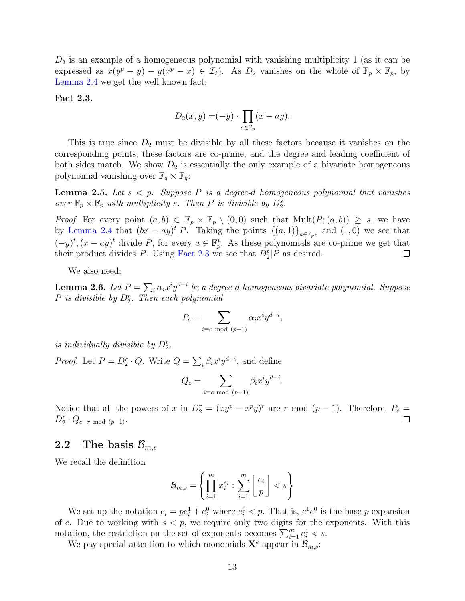$D_2$  is an example of a homogeneous polynomial with vanishing multiplicity 1 (as it can be expressed as  $x(y^p - y) - y(x^p - x) \in I_2$ . As  $D_2$  vanishes on the whole of  $\mathbb{F}_p \times \mathbb{F}_p$ , by [Lemma 2.4](#page-12-1) we get the well known fact:

<span id="page-13-0"></span>Fact 2.3.

$$
D_2(x, y) = (-y) \cdot \prod_{a \in \mathbb{F}_p} (x - ay).
$$

This is true since  $D_2$  must be divisible by all these factors because it vanishes on the corresponding points, these factors are co-prime, and the degree and leading coefficient of both sides match. We show  $D_2$  is essentially the only example of a bivariate homogeneous polynomial vanishing over  $\mathbb{F}_q \times \mathbb{F}_q$ :

<span id="page-13-2"></span>**Lemma 2.5.** Let  $s < p$ . Suppose P is a degree-d homogeneous polynomial that vanishes over  $\mathbb{F}_p \times \mathbb{F}_p$  with multiplicity s. Then P is divisible by  $D_2^s$ .

*Proof.* For every point  $(a, b) \in \mathbb{F}_p \times \mathbb{F}_p \setminus (0, 0)$  such that  $Mult(P; (a, b)) \geq s$ , we have by [Lemma 2.4](#page-12-1) that  $(bx - ay)^t$ . Taking the points  $\{(a, 1)\}_{a \in \mathbb{F}_{p^*}}$  and  $(1, 0)$  we see that  $(-y)^t$ ,  $(x-ay)^t$  divide P, for every  $a \in \mathbb{F}_p^*$ . As these polynomials are co-prime we get that their product divides P. Using [Fact 2.3](#page-13-0) we see that  $D_2^t$  | P as desired.  $\Box$ 

We also need:

<span id="page-13-1"></span>**Lemma 2.6.** Let  $P = \sum_i \alpha_i x^i y^{d-i}$  be a degree-d homogeneous bivariate polynomial. Suppose  $P$  is divisible by  $D_2^r$ . Then each polynomial

$$
P_c = \sum_{i \equiv c \mod (p-1)} \alpha_i x^i y^{d-i}
$$

,

is individually divisible by  $D_2^r$ .

*Proof.* Let  $P = D_2^r \cdot Q$ . Write  $Q = \sum_i \beta_i x^i y^{d-i}$ , and define

$$
Q_c = \sum_{i \equiv c \bmod (p-1)} \beta_i x^i y^{d-i}.
$$

Notice that all the powers of x in  $D_2^r = (xy^p - x^p y)^r$  are r mod  $(p-1)$ . Therefore,  $P_c =$  $D_2^r \cdot Q_{c-r \mod (p-1)}$ .  $\Box$ 

### 2.2 The basis  $\mathcal{B}_{m,s}$

We recall the definition

$$
\mathcal{B}_{m,s} = \left\{ \prod_{i=1}^{m} x_i^{e_i} : \sum_{i=1}^{m} \left\lfloor \frac{e_i}{p} \right\rfloor < s \right\}
$$

We set up the notation  $e_i = pe_i^1 + e_i^0$  where  $e_i^0 < p$ . That is,  $e^1e^0$  is the base p expansion of e. Due to working with  $s < p$ , we require only two digits for the exponents. With this notation, the restriction on the set of exponents becomes  $\sum_{i=1}^{m} e_i^1 < s$ .

We pay special attention to which monomials  $\mathbf{X}^e$  appear in  $\mathcal{B}_{m,s}$ :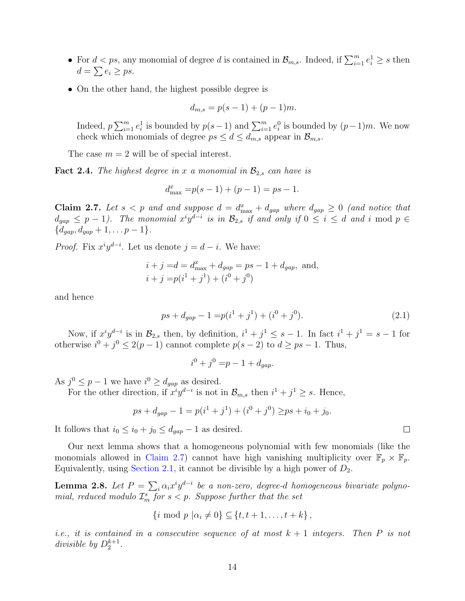- For  $d < ps$ , any monomial of degree d is contained in  $\mathcal{B}_{m,s}$ . Indeed, if  $\sum_{i=1}^{m} e_i^1 \geq s$  then  $d=\sum e_i\geq ps.$
- On the other hand, the highest possible degree is

$$
d_{m,s} = p(s-1) + (p-1)m.
$$

Indeed,  $p \sum_{i=1}^{m} e_i^1$  is bounded by  $p(s-1)$  and  $\sum_{i=1}^{m} e_i^0$  is bounded by  $(p-1)m$ . We now check which monomials of degree  $ps \leq d \leq d_{m,s}$  appear in  $\mathcal{B}_{m,s}$ .

The case  $m = 2$  will be of special interest.

**Fact 2.4.** The highest degree in x a monomial in  $\mathcal{B}_{2,s}$  can have is

$$
d_{\max}^x = p(s-1) + (p-1) = ps - 1.
$$

<span id="page-14-0"></span>**Claim 2.7.** Let  $s < p$  and and suppose  $d = d_{\text{max}}^x + d_{gap}$  where  $d_{gap} \geq 0$  (and notice that  $d_{gap} \leq p-1$ ). The monomial  $x^i y^{d-i}$  is in  $\mathcal{B}_{2,s}$  if and only if  $0 \leq i \leq d$  and i mod  $p \in$  ${d_{gap}, d_{gap} + 1, \ldots p-1}.$ 

*Proof.* Fix  $x^i y^{d-i}$ . Let us denote  $j = d - i$ . We have:

$$
i + j = d = d_{\text{max}}^x + d_{gap} = ps - 1 + d_{gap}
$$
, and,  
\n $i + j = p(i^1 + j^1) + (i^0 + j^0)$ 

and hence

$$
ps + d_{gap} - 1 = p(i1 + j1) + (i0 + j0).
$$
 (2.1)

Now, if  $x^i y^{d-i}$  is in  $\mathcal{B}_{2,s}$  then, by definition,  $i^1 + j^1 \leq s - 1$ . In fact  $i^1 + j^1 = s - 1$  for otherwise  $i^0 + j^0 \leq 2(p-1)$  cannot complete  $p(s-2)$  to  $d \geq ps - 1$ . Thus,

$$
i^0 + j^0 = p - 1 + d_{gap}.
$$

As  $j^0 \leq p-1$  we have  $i^0 \geq d_{gap}$  as desired.

For the other direction, if  $x^i y^{d-i}$  is not in  $\mathcal{B}_{m,s}$  then  $i^1 + j^1 \geq s$ . Hence,

$$
ps + d_{gap} - 1 = p(i1 + j1) + (i0 + j0) \ge ps + i0 + j0.
$$

It follows that  $i_0 \leq i_0 + j_0 \leq d_{gap} - 1$  as desired.

Our next lemma shows that a homogeneous polynomial with few monomials (like the monomials allowed in [Claim 2.7\)](#page-14-0) cannot have high vanishing multiplicity over  $\mathbb{F}_p \times \mathbb{F}_p$ . Equivalently, using [Section 2.1,](#page-12-2) it cannot be divisible by a high power of  $D_2$ .

<span id="page-14-1"></span>**Lemma 2.8.** Let  $P = \sum_i \alpha_i x^i y^{d-i}$  be a non-zero, degree-d homogeneous bivariate polynomial, reduced modulo  $\mathcal{I}_m^s$  for  $s < p$ . Suppose further that the set

$$
\{i \bmod p \mid \alpha_i \neq 0\} \subseteq \{t, t+1, \ldots, t+k\},\
$$

*i.e., it is contained in a consecutive sequence of at most*  $k + 1$  *integers. Then* P *is not* divisible by  $D_2^{k+1}$ .

 $\Box$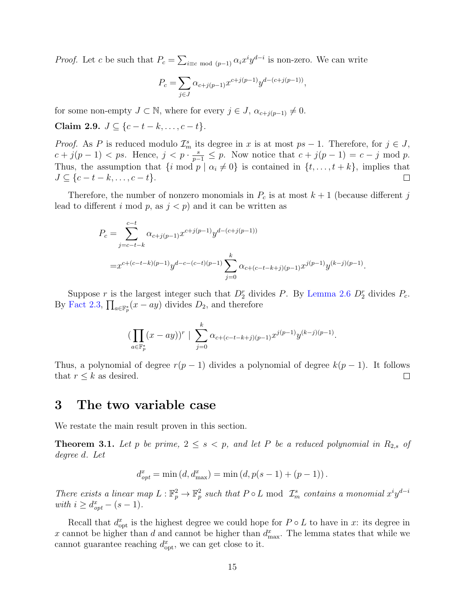*Proof.* Let c be such that  $P_c = \sum_{i \equiv c \mod (p-1)} \alpha_i x^i y^{d-i}$  is non-zero. We can write

$$
P_c = \sum_{j \in J} \alpha_{c+j(p-1)} x^{c+j(p-1)} y^{d-(c+j(p-1))},
$$

for some non-empty  $J \subset \mathbb{N}$ , where for every  $j \in J$ ,  $\alpha_{c+j(p-1)} \neq 0$ .

Claim 2.9.  $J \subseteq \{c - t - k, \ldots, c - t\}.$ 

*Proof.* As P is reduced modulo  $\mathcal{I}_m^s$  its degree in x is at most  $ps - 1$ . Therefore, for  $j \in J$ ,  $c + j(p-1) < ps$ . Hence,  $j < p \cdot \frac{s}{p-1} \leq p$ . Now notice that  $c + j(p-1) = c - j \mod p$ . Thus, the assumption that  $\{i \mod p \mid \alpha_i \neq 0\}$  is contained in  $\{t, \ldots, t + k\}$ , implies that  $J \subseteq \{c-t-k,\ldots,c-t\}.$  $\Box$ 

Therefore, the number of nonzero monomials in  $P_c$  is at most  $k+1$  (because different j lead to different i mod p, as  $j < p$  and it can be written as

$$
P_c = \sum_{j=c-t-k}^{c-t} \alpha_{c+j(p-1)} x^{c+j(p-1)} y^{d-(c+j(p-1))}
$$
  
=  $x^{c+(c-t-k)(p-1)} y^{d-c-(c-t)(p-1)} \sum_{j=0}^k \alpha_{c+(c-t-k+j)(p-1)} x^{j(p-1)} y^{(k-j)(p-1)}$ .

Suppose r is the largest integer such that  $D_2^r$  divides P. By [Lemma 2.6](#page-13-1)  $D_2^r$  divides  $P_c$ . By [Fact 2.3,](#page-13-0)  $\prod_{a \in \mathbb{F}_p^*} (x - ay)$  divides  $D_2$ , and therefore

$$
\left(\prod_{a\in\mathbb{F}_p^*}(x-ay)\right)^r \mid \sum_{j=0}^k \alpha_{c+(c-t-k+j)(p-1)} x^{j(p-1)} y^{(k-j)(p-1)}.
$$

Thus, a polynomial of degree  $r(p-1)$  divides a polynomial of degree  $k(p-1)$ . It follows that  $r \leq k$  as desired.  $\Box$ 

## <span id="page-15-0"></span>3 The two variable case

<span id="page-15-1"></span>We restate the main result proven in this section.

**Theorem 3.1.** Let p be prime,  $2 \leq s \leq p$ , and let P be a reduced polynomial in  $R_{2,s}$  of degree d. Let

$$
d_{opt}^x = \min (d, d_{\max}^x) = \min (d, p(s-1) + (p-1)).
$$

There exists a linear map  $L : \mathbb{F}_p^2 \to \mathbb{F}_p^2$  such that  $P \circ L$  mod  $\mathcal{I}_m^s$  contains a monomial  $x^i y^{d-i}$ with  $i \geq d_{opt}^x - (s-1)$ .

Recall that  $d_{\text{opt}}^x$  is the highest degree we could hope for  $P \circ L$  to have in x: its degree in x cannot be higher than d and cannot be higher than  $d_{\text{max}}^x$ . The lemma states that while we cannot guarantee reaching  $d_{\text{opt}}^x$ , we can get close to it.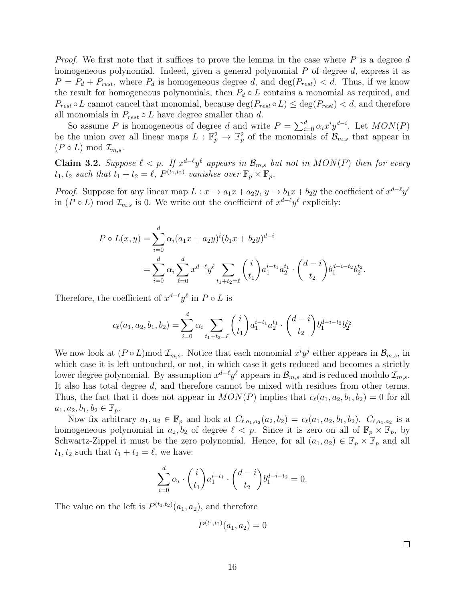*Proof.* We first note that it suffices to prove the lemma in the case where P is a degree d homogeneous polynomial. Indeed, given a general polynomial P of degree d, express it as  $P = P_d + P_{rest}$ , where  $P_d$  is homogeneous degree d, and  $deg(P_{rest}) < d$ . Thus, if we know the result for homogeneous polynomials, then  $P_d \circ L$  contains a monomial as required, and  $P_{rest} \circ L$  cannot cancel that monomial, because  $\deg(P_{rest} \circ L) \leq \deg(P_{rest}) < d$ , and therefore all monomials in  $P_{rest} \circ L$  have degree smaller than d.

So assume P is homogeneous of degree d and write  $P = \sum_{i=0}^{d} \alpha_i x^i y^{d-i}$ . Let  $MON(P)$ be the union over all linear maps  $L : \mathbb{F}_p^2 \to \mathbb{F}_p^2$  of the monomials of  $\mathcal{B}_{m,s}$  that appear in  $(P \circ L) \mod \mathcal{I}_{m,s}.$ 

<span id="page-16-0"></span>Claim 3.2. Suppose  $\ell$  < p. If  $x^{d-\ell}y^{\ell}$  appears in  $\mathcal{B}_{m,s}$  but not in  $MON(P)$  then for every  $t_1, t_2$  such that  $t_1 + t_2 = \ell$ ,  $P^{(t_1,t_2)}$  vanishes over  $\mathbb{F}_p \times \mathbb{F}_p$ .

*Proof.* Suppose for any linear map  $L: x \to a_1x + a_2y, y \to b_1x + b_2y$  the coefficient of  $x^{d-\ell}y^{\ell}$ in  $(P \circ L)$  mod  $\mathcal{I}_{m,s}$  is 0. We write out the coefficient of  $x^{d-\ell}y^{\ell}$  explicitly:

$$
P \circ L(x, y) = \sum_{i=0}^{d} \alpha_i (a_1 x + a_2 y)^i (b_1 x + b_2 y)^{d-i}
$$
  
= 
$$
\sum_{i=0}^{d} \alpha_i \sum_{\ell=0}^{d} x^{d-\ell} y^{\ell} \sum_{t_1+t_2=\ell} {i \choose t_1} a_1^{i-t_1} a_2^{t_1} \cdot {d-i \choose t_2} b_1^{d-i-t_2} b_2^{t_2}.
$$

Therefore, the coefficient of  $x^{d-\ell}y^{\ell}$  in  $P \circ L$  is

$$
c_{\ell}(a_1, a_2, b_1, b_2) = \sum_{i=0}^{d} \alpha_i \sum_{t_1 + t_2 = \ell} {i \choose t_1} a_1^{i-t_1} a_2^{t_1} \cdot {d-i \choose t_2} b_1^{d-i-t_2} b_2^{t_2}
$$

We now look at  $(P \circ L) \text{mod } \mathcal{I}_{m,s}$ . Notice that each monomial  $x^i y^j$  either appears in  $\mathcal{B}_{m,s}$ , in which case it is left untouched, or not, in which case it gets reduced and becomes a strictly lower degree polynomial. By assumption  $x^{d-\ell}y^{\ell}$  appears in  $\mathcal{B}_{m,s}$  and is reduced modulo  $\mathcal{I}_{m,s}$ . It also has total degree d, and therefore cannot be mixed with residues from other terms. Thus, the fact that it does not appear in  $MON(P)$  implies that  $c_{\ell}(a_1, a_2, b_1, b_2) = 0$  for all  $a_1, a_2, b_1, b_2 \in \mathbb{F}_p$ .

Now fix arbitrary  $a_1, a_2 \in \mathbb{F}_p$  and look at  $C_{\ell, a_1, a_2}(a_2, b_2) = c_{\ell}(a_1, a_2, b_1, b_2)$ .  $C_{\ell, a_1, a_2}$  is a homogeneous polynomial in  $a_2, b_2$  of degree  $\ell < p$ . Since it is zero on all of  $\mathbb{F}_p \times \mathbb{F}_p$ , by Schwartz-Zippel it must be the zero polynomial. Hence, for all  $(a_1, a_2) \in \mathbb{F}_p \times \mathbb{F}_p$  and all  $t_1, t_2$  such that  $t_1 + t_2 = \ell$ , we have:

$$
\sum_{i=0}^{d} \alpha_i \cdot {i \choose t_1} a_1^{i-t_1} \cdot {d-i \choose t_2} b_1^{d-i-t_2} = 0.
$$

<span id="page-16-1"></span>The value on the left is  $P^{(t_1,t_2)}(a_1,a_2)$ , and therefore

$$
P^{(t_1,t_2)}(a_1,a_2) = 0
$$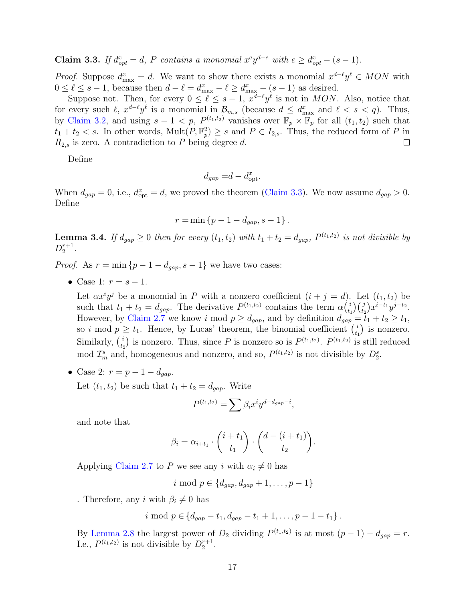**Claim 3.3.** If  $d_{opt}^x = d$ , P contains a monomial  $x^e y^{d-e}$  with  $e \geq d_{opt}^x - (s-1)$ .

*Proof.* Suppose  $d_{\text{max}}^x = d$ . We want to show there exists a monomial  $x^{d-\ell}y^{\ell} \in MON$  with  $0 \leq \ell \leq s - 1$ , because then  $d - \ell = d_{\max}^x - \ell \geq d_{\max}^x - (s - 1)$  as desired.

Suppose not. Then, for every  $0 \leq \ell \leq s-1$ ,  $x^{d-\ell}y^{\ell}$  is not in MON. Also, notice that for every such  $\ell, x^{d-\ell}y^{\ell}$  is a monomial in  $\mathcal{B}_{m,s}$  (because  $d \leq d_{\max}^x$  and  $\ell < s < q$ ). Thus, by [Claim 3.2,](#page-16-0) and using  $s-1 < p$ ,  $P^{(t_1,t_2)}$  vanishes over  $\mathbb{F}_p \times \mathbb{F}_p$  for all  $(t_1,t_2)$  such that  $t_1 + t_2 < s$ . In other words, Mult $(P, \mathbb{F}_p^2) \geq s$  and  $P \in I_{2,s}$ . Thus, the reduced form of P in  $R_{2,s}$  is zero. A contradiction to P being degree d.  $\Box$ 

Define

$$
d_{gap} = d - d_{\text{opt}}^x.
$$

When  $d_{gap} = 0$ , i.e.,  $d_{opt}^x = d$ , we proved the theorem [\(Claim 3.3\)](#page-16-1). We now assume  $d_{gap} > 0$ . Define

$$
r = \min \{ p - 1 - d_{gap}, s - 1 \}.
$$

<span id="page-17-0"></span>**Lemma 3.4.** If  $d_{gap} \geq 0$  then for every  $(t_1, t_2)$  with  $t_1 + t_2 = d_{gap}$ ,  $P^{(t_1, t_2)}$  is not divisible by  $D_2^{r+1}$ .

*Proof.* As  $r = \min\{p - 1 - d_{\text{can}}, s - 1\}$  we have two cases:

• Case 1:  $r = s - 1$ .

Let  $\alpha x^i y^j$  be a monomial in P with a nonzero coefficient  $(i + j = d)$ . Let  $(t_1, t_2)$  be such that  $t_1 + t_2 = d_{gap}$ . The derivative  $P^{(t_1,t_2)}$  contains the term  $\alpha \begin{pmatrix} i \\ i \end{pmatrix}$  $_{t_1}^{i}$  $\binom{j}{t_2} x^{i-t_1} y^{j-t_2}$ . However, by [Claim 2.7](#page-14-0) we know i mod  $p \ge d_{gap}$ , and by definition  $d_{gap} = t_1 + t_2 \ge t_1$ , so i mod  $p \geq t_1$ . Hence, by Lucas' theorem, the binomial coefficient  $\binom{t}{t}$  $t_1$ ) is nonzero. Similarly,  $\binom{i}{t_i}$  $(t_1, t_2)$  is nonzero. Thus, since P is nonzero so is  $P^{(t_1,t_2)}$ .  $P^{(t_1,t_2)}$  is still reduced mod  $\mathcal{I}_m^s$  and, homogeneous and nonzero, and so,  $P^{(t_1,t_2)}$  is not divisible by  $D_2^s$ .

• Case 2:  $r = p - 1 - d_{gap}$ . Let  $(t_1, t_2)$  be such that  $t_1 + t_2 = d_{gap}$ . Write

$$
P^{(t_1,t_2)} = \sum \beta_i x^i y^{d-d_{gap}-i},
$$

and note that

$$
\beta_i = \alpha_{i+t_1} \cdot \binom{i+t_1}{t_1} \cdot \binom{d-(i+t_1)}{t_2}.
$$

Applying [Claim 2.7](#page-14-0) to P we see any i with  $\alpha_i \neq 0$  has

i mod  $p \in \{d_{gap}, d_{gap} + 1, \ldots, p - 1\}$ 

. Therefore, any i with  $\beta_i \neq 0$  has

$$
i \mod p \in \{d_{gap} - t_1, d_{gap} - t_1 + 1, \ldots, p - 1 - t_1\}.
$$

By [Lemma 2.8](#page-14-1) the largest power of  $D_2$  dividing  $P^{(t_1,t_2)}$  is at most  $(p-1) - d_{gap} = r$ . I.e.,  $P^{(t_1,t_2)}$  is not divisible by  $D_2^{r+1}$ .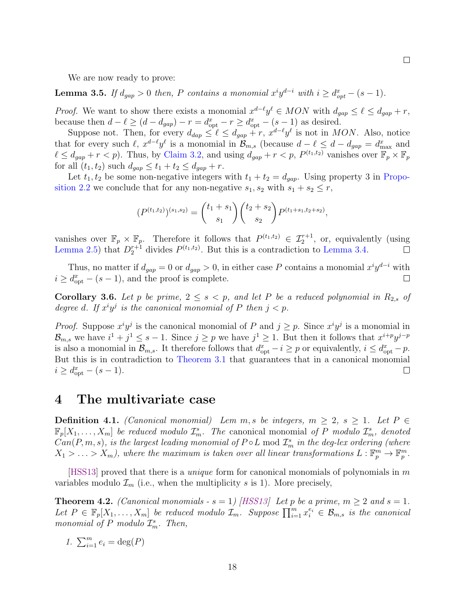We are now ready to prove:

**Lemma 3.5.** If  $d_{gap} > 0$  then, P contains a monomial  $x^i y^{d-i}$  with  $i \geq d_{opt}^x - (s-1)$ .

*Proof.* We want to show there exists a monomial  $x^{d-\ell}y^{\ell} \in MON$  with  $d_{gap} \leq \ell \leq d_{gap} + r$ , because then  $d - \ell \ge (d - d_{gap}) - r = d_{opt}^x - r \ge d_{opt}^x - (s - 1)$  as desired.

Suppose not. Then, for every  $d_{map} \leq \ell \leq d_{gap} + r$ ,  $x^{d-\ell}y^{\ell}$  is not in MON. Also, notice that for every such  $\ell$ ,  $x^{d-\ell}y^{\ell}$  is a monomial in  $\mathcal{B}_{m,s}$  (because  $d-\ell \leq d-d_{gap}=d_{\max}^x$  and  $\ell \leq d_{gap} + r < p$ ). Thus, by [Claim 3.2,](#page-16-0) and using  $d_{gap} + r < p$ ,  $P^{(t_1,t_2)}$  vanishes over  $\mathbb{F}_p \times \mathbb{F}_p$ for all  $(t_1, t_2)$  such  $d_{gap} \leq t_1 + t_2 \leq d_{gap} + r$ .

Let  $t_1, t_2$  be some non-negative integers with  $t_1 + t_2 = d_{gap}$ . Using property 3 in [Propo](#page-11-1)[sition 2.2](#page-11-1) we conclude that for any non-negative  $s_1, s_2$  with  $s_1 + s_2 \leq r$ ,

$$
(P^{(t_1,t_2)})^{(s_1,s_2)} = {t_1+s_1 \choose s_1} {t_2+s_2 \choose s_2} P^{(t_1+s_1,t_2+s_2)},
$$

vanishes over  $\mathbb{F}_p \times \mathbb{F}_p$ . Therefore it follows that  $P^{(t_1,t_2)} \in \mathcal{I}_2^{r+1}$ , or, equivalently (using [Lemma 2.5\)](#page-13-2) that  $D_2^{r+1}$  divides  $P^{(t_1,t_2)}$ . But this is a contradiction to [Lemma 3.4.](#page-17-0) П

Thus, no matter if  $d_{gap} = 0$  or  $d_{gap} > 0$ , in either case P contains a monomial  $x^i y^{d-i}$  with  $i \geq d_{\rm opt}^x - (s-1)$ , and the proof is complete.  $\Box$ 

<span id="page-18-2"></span>Corollary 3.6. Let p be prime,  $2 \leq s \leq p$ , and let P be a reduced polynomial in  $R_{2,s}$  of degree d. If  $x^i y^j$  is the canonical monomial of P then  $j < p$ .

*Proof.* Suppose  $x^i y^j$  is the canonical monomial of P and  $j \geq p$ . Since  $x^i y^j$  is a monomial in  $\mathcal{B}_{m,s}$  we have  $i^1 + j^1 \leq s - 1$ . Since  $j \geq p$  we have  $j^1 \geq 1$ . But then it follows that  $x^{i+p}y^{j-p}$ is also a monomial in  $\mathcal{B}_{m,s}$ . It therefore follows that  $d_{\text{opt}}^x - i \geq p$  or equivalently,  $i \leq d_{\text{opt}}^x - p$ . But this is in contradiction to [Theorem 3.1](#page-15-1) that guarantees that in a canonical monomial  $i \geq d_{\rm opt}^x - (s-1).$  $\Box$ 

## <span id="page-18-0"></span>4 The multivariate case

**Definition 4.1.** (Canonical monomial) Lem m, s be integers,  $m \geq 2$ ,  $s \geq 1$ . Let  $P \in$  $\mathbb{F}_p[X_1,\ldots,X_m]$  be reduced modulo  $\mathcal{I}_m^s$ . The canonical monomial of P modulo  $\mathcal{I}_m^s$ , denoted  $Can(P, m, s)$ , is the largest leading monomial of  $P \circ L$  mod  $\mathcal{I}^s_m$  in the deg-lex ordering (where  $X_1 > \ldots > X_m$ , where the maximum is taken over all linear transformations  $L : \mathbb{F}_p^m \to \mathbb{F}_p^m$ .

[\[HSS13\]](#page--1-1) proved that there is a *unique* form for canonical monomials of polynomials in  $m$ variables modulo  $\mathcal{I}_m$  (i.e., when the multiplicity s is 1). More precisely,

<span id="page-18-1"></span>**Theorem 4.2.** (Canonical monomials - s = 1) [\[HSS13\]](#page--1-1) Let p be a prime,  $m \ge 2$  and  $s = 1$ . Let  $P \in \mathbb{F}_p[X_1,\ldots,X_m]$  be reduced modulo  $\mathcal{I}_m$ . Suppose  $\prod_{i=1}^m x_i^{e_i} \in \mathcal{B}_{m,s}$  is the canonical monomial of P modulo  $\mathcal{I}_m^s$ . Then,

18

1.  $\sum_{i=1}^{m} e_i = \deg(P)$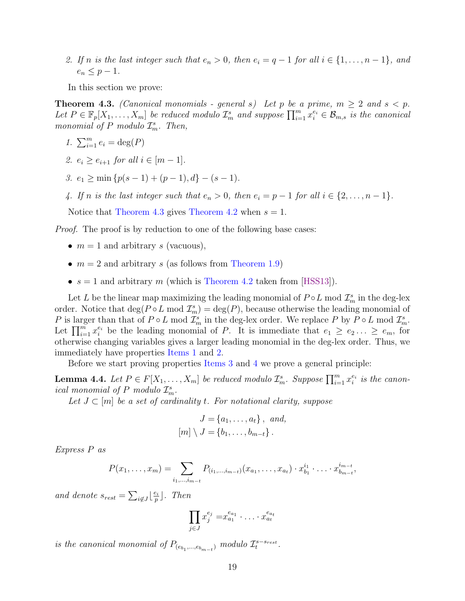2. If n is the last integer such that  $e_n > 0$ , then  $e_i = q - 1$  for all  $i \in \{1, ..., n-1\}$ , and  $e_n \leq p-1$ .

In this section we prove:

<span id="page-19-0"></span>**Theorem 4.3.** (Canonical monomials - general s) Let p be a prime,  $m \geq 2$  and  $s < p$ . Let  $P \in \mathbb{F}_p[X_1,\ldots,X_m]$  be reduced modulo  $\mathcal{I}_m^s$  and suppose  $\prod_{i=1}^m x_i^{e_i} \in \mathcal{B}_{m,s}$  is the canonical monomial of P modulo  $\mathcal{I}_m^s$ . Then,

- <span id="page-19-1"></span>1.  $\sum_{i=1}^{m} e_i = \deg(P)$
- <span id="page-19-2"></span>2.  $e_i > e_{i+1}$  for all  $i \in [m-1]$ .
- <span id="page-19-3"></span>3.  $e_1 \ge \min \{p(s-1) + (p-1), d\} - (s-1).$
- <span id="page-19-4"></span>4. If n is the last integer such that  $e_n > 0$ , then  $e_i = p - 1$  for all  $i \in \{2, ..., n - 1\}$ .

Notice that [Theorem 4.3](#page-19-0) gives [Theorem 4.2](#page-18-1) when  $s = 1$ .

*Proof.* The proof is by reduction to one of the following base cases:

- $m = 1$  and arbitrary s (vacuous),
- $m = 2$  and arbitrary s (as follows from [Theorem 1.9\)](#page-8-0)
- $s = 1$  and arbitrary m (which is [Theorem 4.2](#page-18-1) taken from [\[HSS13\]](#page--1-1)).

Let L be the linear map maximizing the leading monomial of  $P \circ L$  mod  $\mathcal{I}_m^s$  in the deg-lex order. Notice that  $\deg(P \circ L \mod \mathcal{I}_m^s) = \deg(P)$ , because otherwise the leading monomial of P is larger than that of  $P \circ L \mod \mathcal{I}_{m}^s$  in the deg-lex order. We replace P by  $P \circ L \mod \mathcal{I}_{m}^s$ . Let  $\prod_{i=1}^m x_i^{e_i}$  be the leading monomial of P. It is immediate that  $e_1 \geq e_2 \ldots \geq e_m$ , for otherwise changing variables gives a larger leading monomial in the deg-lex order. Thus, we immediately have properties [Items 1](#page-19-1) and [2.](#page-19-2)

Before we start proving properties [Items 3](#page-19-3) and [4](#page-19-4) we prove a general principle:

<span id="page-19-5"></span>**Lemma 4.4.** Let  $P \in F[X_1, \ldots, X_m]$  be reduced modulo  $\mathcal{I}_{m}^s$ . Suppose  $\prod_{i=1}^{m} x_i^{e_i}$  is the canonical monomial of P modulo  $\mathcal{I}_m^s$ .

Let  $J \subset [m]$  be a set of cardinality t. For notational clarity, suppose

$$
J = \{a_1, \ldots, a_t\}, \text{ and,}
$$

$$
[m] \setminus J = \{b_1, \ldots, b_{m-t}\}.
$$

Express P as

$$
P(x_1,\ldots,x_m)=\sum_{i_1,\ldots,i_{m-t}} P_{(i_1,\ldots,i_{m-t})}(x_{a_1},\ldots,x_{a_t})\cdot x_{b_1}^{i_1}\cdot \ldots \cdot x_{b_{m-t}}^{i_{m-t}},
$$

and denote  $s_{rest} = \sum_{i \notin J} \lfloor \frac{e_i}{p} \rfloor$  $_{p}^{\frac{e_{i}}{p}}$ ]. Then

$$
\prod_{j\in J} x_j^{e_j}=x_{a_1}^{e_{a_1}}\cdot \ldots \cdot x_{a_t}^{e_{a_t}}
$$

is the canonical monomial of  $P_{(e_{b_1},...,e_{b_{m-t}})}$  modulo  $\mathcal{I}_t^{s-s_{rest}}$ .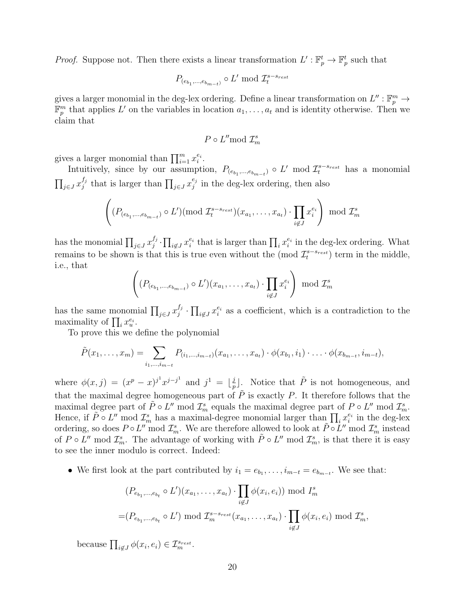*Proof.* Suppose not. Then there exists a linear transformation  $L': \mathbb{F}_p^t \to \mathbb{F}_p^t$  such that

$$
P_{(e_{b_1}, \ldots, e_{b_{m-t}})} \circ L' \bmod {\mathcal{I}_t^{s-s_{rest}}}
$$

gives a larger monomial in the deg-lex ordering. Define a linear transformation on  $L'' : \mathbb{F}_p^m \to$  $\mathbb{F}_p^m$  that applies L' on the variables in location  $a_1, \ldots, a_t$  and is identity otherwise. Then we claim that

$$
P\circ L''\mathrm{mod}\ {\mathcal I}_m^s
$$

gives a larger monomial than  $\prod_{i=1}^m x_i^{e_i}$ .

Intuitively, since by our assumption,  $P_{(e_{b_1},...,e_{b_{m-t}})} \circ L'$  mod  $\mathcal{I}_t^{s-s_{rest}}$  has a monomial  $\prod_{j\in J} x_j^{f_j}$  $j_j^{f_j}$  that is larger than  $\prod_{j\in J} x_j^{e_j}$  $j^{e_j}$  in the deg-lex ordering, then also

$$
\left( (P_{(e_{b_1},...,e_{b_{m-t}})} \circ L') (\text{mod } \mathcal{I}_t^{s-s_{rest}}) (x_{a_1},...,x_{a_t}) \cdot \prod_{i \notin J} x_i^{e_i} \right) \text{ mod } \mathcal{I}_m^s
$$

has the monomial  $\prod_{j\in J} x_j^{f_j}$  $j^{f_j} \cdot \prod_{i \notin J} x_i^{e_i}$  that is larger than  $\prod_i x_i^{e_i}$  in the deg-lex ordering. What remains to be shown is that this is true even without the (mod  $\mathcal{I}_t^{s-s_{rest}}$ ) term in the middle, i.e., that

$$
\left( (P_{(e_{b_1},\ldots,e_{b_{m-t}})} \circ L')(x_{a_1},\ldots,x_{a_t}) \cdot \prod_{i \notin J} x_i^{e_i} \right) \bmod \mathcal{I}_m^s
$$

has the same monomial  $\prod_{j\in J} x_j^{f_j}$  $j_j^{f_j}$   $\cdot \prod_{i \notin J} x_i^{e_i}$  as a coefficient, which is a contradiction to the maximality of  $\prod_i x_i^{e_i}$ .

To prove this we define the polynomial

$$
\tilde{P}(x_1,\ldots,x_m)=\sum_{i_1,\ldots,i_{m-t}}P_{(i_1,\ldots,i_{m-t})}(x_{a_1},\ldots,x_{a_t})\cdot\phi(x_{b_1},i_1)\cdot\ldots\cdot\phi(x_{b_{m-t}},i_{m-t}),
$$

where  $\phi(x,j) = (x^p - x)^{j^1} x^{j-j^1}$  and  $j^1 = \lfloor \frac{j}{x} \rfloor$  $\frac{j}{p}$ . Notice that  $\tilde{P}$  is not homogeneous, and that the maximal degree homogeneous part of  $\tilde{P}$  is exactly P. It therefore follows that the maximal degree part of  $\tilde{P} \circ L''$  mod  $\mathcal{I}_{m}^s$  equals the maximal degree part of  $P \circ L''$  mod  $\mathcal{I}_{m}^s$ . Hence, if  $\tilde{P} \circ L''$  mod  $\mathcal{I}_{m}^{s}$  has a maximal-degree monomial larger than  $\prod_{i} x_i^{e_i}$  in the deg-lex ordering, so does  $P \circ L''$  mod  $\mathcal{I}_{m}^s$ . We are therefore allowed to look at  $\tilde{P} \circ L''$  mod  $\mathcal{I}_{m}^s$  instead of  $P \circ L''$  mod  $\mathcal{I}_{m}^s$ . The advantage of working with  $\tilde{P} \circ L''$  mod  $\mathcal{I}_{m}^s$ , is that there it is easy to see the inner modulo is correct. Indeed:

• We first look at the part contributed by  $i_1 = e_{b_1}, \ldots, i_{m-t} = e_{b_{m-t}}$ . We see that:

$$
(P_{e_{b_1},\ldots,e_{b_t}} \circ L')(x_{a_1},\ldots,x_{a_t}) \cdot \prod_{i \notin J} \phi(x_i,e_i)) \bmod I_m^s
$$
  
=  $(P_{e_{b_1},\ldots,e_{b_t}} \circ L') \bmod \mathcal{I}_m^{s-s_{rest}}(x_{a_1},\ldots,x_{a_t}) \cdot \prod_{i \notin J} \phi(x_i,e_i) \bmod \mathcal{I}_m^s$ ,

because  $\prod_{i \notin J} \phi(x_i, e_i) \in \mathcal{I}_m^{s_{rest}}$ .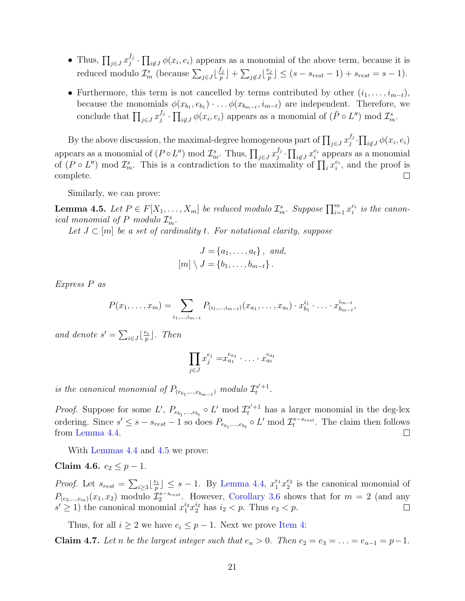- Thus,  $\prod_{j\in J} x_j^{f_j}$  $\prod_{i \notin J} \phi(x_i, e_i)$  appears as a monomial of the above term, because it is reduced modulo  $\mathcal{I}_m^s$  (because  $\sum_{j \in J} \left\lfloor \frac{f_j}{p} \right\rfloor$  $\frac{f_j}{p}\rfloor+\sum_{j\not\in J}\lfloor\frac{e_j}{p}\rfloor$  $\lfloor \frac{s_j}{p} \rfloor \le (s - s_{rest} - 1) + s_{rest} = s - 1).$
- Furthermore, this term is not cancelled by terms contributed by other  $(i_1, \ldots, i_{m-t})$ , because the monomials  $\phi(x_{b_1}, e_{b_1}) \cdot \ldots \phi(x_{b_{m-t}}, i_{m-t})$  are independent. Therefore, we conclude that  $\prod_{j\in J} x_j^{f_j}$  $j^{f_j} \cdot \prod_{i \notin J} \phi(x_i, e_i)$  appears as a monomial of  $(\tilde{P} \circ L'') \mod \mathcal{I}_{m}^s$ .

By the above discussion, the maximal-degree homogeneous part of  $\prod_{j\in J} x_j^{f_j}$  $\prod_{j}^{J_j} \cdot \prod_{i \notin J} \phi(x_i, e_i)$ appears as a monomial of  $(P \circ L'') \mod \mathcal{I}_{m}^s$ . Thus,  $\prod_{j \in J} x_j^{f_j}$  $j^{f_j} \cdot \prod_{i \notin J} x_i^{e_i}$  appears as a monomial of  $(P \circ L'')$  mod  $\mathcal{I}_{m}^s$ . This is a contradiction to the maximality of  $\prod_i x_i^{e_i}$ , and the proof is complete.  $\Box$ 

Similarly, we can prove:

<span id="page-21-0"></span>**Lemma 4.5.** Let  $P \in F[X_1, \ldots, X_m]$  be reduced modulo  $\mathcal{I}_{m}^s$ . Suppose  $\prod_{i=1}^{m} x_i^{e_i}$  is the canonical monomial of P modulo  $\mathcal{I}_m^s$ .

Let  $J \subset [m]$  be a set of cardinality t. For notational clarity, suppose

$$
J = \{a_1, \ldots, a_t\}, \text{ and,}
$$

$$
[m] \setminus J = \{b_1, \ldots, b_{m-t}\}.
$$

Express P as

$$
P(x_1,\ldots,x_m)=\sum_{i_1,\ldots,i_{m-t}} P_{(i_1,\ldots,i_{m-t})}(x_{a_1},\ldots,x_{a_t})\cdot x_{b_1}^{i_1}\cdot \ldots \cdot x_{b_{m-t}}^{i_{m-t}},
$$

and denote  $s' = \sum_{i \in J} \lfloor \frac{e_i}{p} \rfloor$  $\frac{e_i}{p}$ ]. Then

$$
\prod_{j\in J} x_j^{e_j}=x_{a_1}^{e_{a_1}}\cdot \ldots \cdot x_{a_t}^{e_{a_t}}
$$

is the canonical monomial of  $P_{(e_{b_1},...,e_{b_{m-t}})}$  modulo  $\mathcal{I}_t^{s'+1}$ .

*Proof.* Suppose for some L',  $P_{e_{b_1},...,e_{b_t}} \circ L'$  mod  $\mathcal{I}_t^{s'+1}$  has a larger monomial in the deg-lex ordering. Since  $s' \leq s - s_{rest} - 1$  so does  $P_{e_{b_1},...,e_{b_t}} \circ L'$  mod  $\mathcal{I}_t^{s - s_{rest}}$ . The claim then follows from [Lemma 4.4.](#page-19-5)  $\Box$ 

With [Lemmas 4.4](#page-19-5) and [4.5](#page-21-0) we prove:

Claim 4.6.  $e_2 \leq p-1$ .

*Proof.* Let  $s_{rest} = \sum_{i \geq 3} \left\lfloor \frac{e_i}{p} \right\rfloor$  $\lfloor \frac{e_i}{p} \rfloor$  ≤ s − 1. By [Lemma 4.4,](#page-19-5)  $x_1^{e_1} x_2^{e_2}$  is the canonical monomial of  $P_{(e_3,...,e_m)}(x_1,x_2)$  modulo  $\mathcal{I}_2^{s-s_{rest}}$ . However, [Corollary 3.6](#page-18-2) shows that for  $m=2$  (and any  $s' \geq 1$ ) the canonical monomial  $x_1^{i_2}x_2^{i_2}$  has  $i_2 < p$ . Thus  $e_2 < p$ .  $\Box$ 

Thus, for all  $i \geq 2$  we have  $e_i \leq p-1$ . Next we prove [Item 4:](#page-19-4)

Claim 4.7. Let n be the largest integer such that  $e_n > 0$ . Then  $e_2 = e_3 = \ldots = e_{n-1} = p-1$ .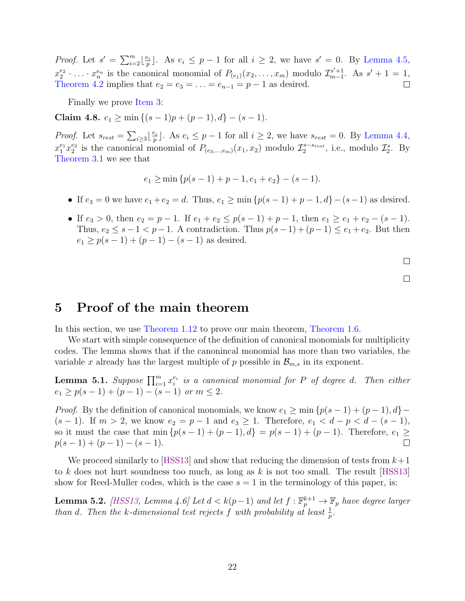*Proof.* Let  $s' = \sum_{i=2}^m \lfloor \frac{e_i}{p} \rfloor$  $\lfloor \frac{e_i}{p} \rfloor$ . As  $e_i \leq p-1$  for all  $i \geq 2$ , we have  $s' = 0$ . By [Lemma 4.5,](#page-21-0)  $x_2^{e_2} \cdot \ldots \cdot x_n^{e_n}$  is the canonical monomial of  $P_{(e_1)}(x_2,\ldots,x_m)$  modulo  $\mathcal{I}_{m-1}^{s'+1}$ . As  $s'+1=1$ , [Theorem 4.2](#page-18-1) implies that  $e_2 = e_3 = \ldots = e_{n-1} = p-1$  as desired.  $\Box$ 

Finally we prove [Item 3:](#page-19-3)

Claim 4.8.  $e_1 \ge \min\{(s-1)p + (p-1), d\} - (s-1).$ 

*Proof.* Let  $s_{rest} = \sum_{i \geq 3} \left\lfloor \frac{e_i}{p} \right\rfloor$  $\lfloor \frac{e_i}{p} \rfloor$ . As  $e_i \leq p-1$  for all  $i \geq 2$ , we have  $s_{rest} = 0$ . By [Lemma 4.4,](#page-19-5)  $x_1^{e_1}x_2^{e_2}$  is the canonical monomial of  $P_{(e_3,...,e_m)}(x_1,x_2)$  modulo  $\mathcal{I}_2^{s-s_{rest}}$ , i.e., modulo  $\mathcal{I}_2^s$ . By [Theorem 3.1](#page-15-1) we see that

$$
e_1 \ge \min \{ p(s-1) + p - 1, e_1 + e_2 \} - (s-1).
$$

- If  $e_3 = 0$  we have  $e_1 + e_2 = d$ . Thus,  $e_1 \ge \min \{p(s-1) + p-1, d\} (s-1)$  as desired.
- If  $e_3 > 0$ , then  $e_2 = p 1$ . If  $e_1 + e_2 \le p(s 1) + p 1$ , then  $e_1 \ge e_1 + e_2 (s 1)$ . Thus,  $e_2 \leq s - 1 < p - 1$ . A contradiction. Thus  $p(s-1) + (p-1) \leq e_1 + e_2$ . But then  $e_1 \geq p(s-1) + (p-1) - (s-1)$  as desired.

 $\Box$ 

 $\Box$ 

## <span id="page-22-0"></span>5 Proof of the main theorem

In this section, we use [Theorem 1.12](#page-9-0) to prove our main theorem, [Theorem 1.6.](#page-5-1)

We start with simple consequence of the definition of canonical monomials for multiplicity codes. The lemma shows that if the canonincal monomial has more than two variables, the variable x already has the largest multiple of p possible in  $\mathcal{B}_{m,s}$  in its exponent.

<span id="page-22-2"></span>**Lemma 5.1.** Suppose  $\prod_{i=1}^{m} x_i^{e_i}$  is a canonical monomial for P of degree d. Then either  $e_1 \geq p(s-1) + (p-1) - (s-1)$  or  $m \leq 2$ .

*Proof.* By the definition of canonical monomials, we know  $e_1 \ge \min \{p(s-1) + (p-1), d\}$  $(s - 1)$ . If  $m > 2$ , we know  $e_2 = p - 1$  and  $e_3 \ge 1$ . Therefore,  $e_1 < d - p < d - (s - 1)$ , so it must the case that min  $\{p(s-1)+(p-1), d\} = p(s-1)+(p-1)$ . Therefore,  $e_1 \ge$  $p(s-1) + (p-1) - (s-1).$ 

We proceed similarly to [\[HSS13\]](#page--1-1) and show that reducing the dimension of tests from  $k+1$ to k does not hurt soundness too much, as long as k is not too small. The result [\[HSS13\]](#page--1-1) show for Reed-Muller codes, which is the case  $s = 1$  in the terminology of this paper, is:

<span id="page-22-1"></span>**Lemma 5.2.** [\[HSS13,](#page--1-1) Lemma 4.6] Let  $d < k(p-1)$  and let  $f : \mathbb{F}_p^{k+1} \to \mathbb{F}_p$  have degree larger than d. Then the k-dimensional test rejects f with probability at least  $\frac{1}{p}$ .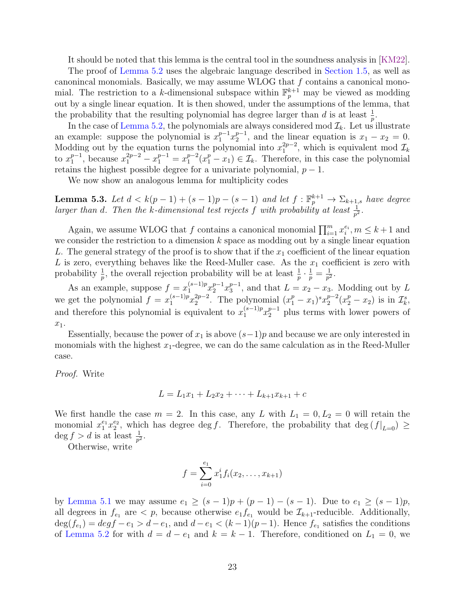It should be noted that this lemma is the central tool in the soundness analysis in [\[KM22\]](#page--1-5).

The proof of [Lemma 5.2](#page-22-1) uses the algebraic language described in [Section 1.5,](#page-6-1) as well as canonincal monomials. Basically, we may assume WLOG that f contains a canonical monomial. The restriction to a k-dimensional subspace within  $\mathbb{F}_p^{k+1}$  may be viewed as modding out by a single linear equation. It is then showed, under the assumptions of the lemma, that the probability that the resulting polynomial has degree larger than d is at least  $\frac{1}{p}$ .

In the case of [Lemma 5.2,](#page-22-1) the polynomials are always considered mod  $\mathcal{I}_k$ . Let us illustrate an example: suppose the polynomial is  $x_1^{p-1}x_2^{p-1}$ , and the linear equation is  $x_1 - x_2 = 0$ . 2 Modding out by the equation turns the polynomial into  $x_1^{2p-2}$  $\mathcal{I}_1^{2p-2}$ , which is equivalent mod  $\mathcal{I}_k$ to  $x_1^{p-1}$  $x_1^{p-1}$ , because  $x_1^{2p-2} - x_1^{p-1} = x_1^{p-2}$  $n_1^{p-2}(x_1^p - x_1) \in \mathcal{I}_k$ . Therefore, in this case the polynomial retains the highest possible degree for a univariate polynomial,  $p - 1$ .

We now show an analogous lemma for multiplicity codes

<span id="page-23-0"></span>**Lemma 5.3.** Let  $d < k(p-1) + (s-1)p - (s-1)$  and let  $f : \mathbb{F}_p^{k+1} \to \Sigma_{k+1,s}$  have degree larger than d. Then the k-dimensional test rejects f with probability at least  $\frac{1}{p^2}$ .

Again, we assume WLOG that f contains a canonical monomial  $\prod_{i=1}^{m} x_i^{e_i}$ ,  $m \leq k+1$  and we consider the restriction to a dimension  $k$  space as modding out by a single linear equation L. The general strategy of the proof is to show that if the  $x_1$  coefficient of the linear equation L is zero, everything behaves like the Reed-Muller case. As the  $x_1$  coefficient is zero with probability  $\frac{1}{p}$ , the overall rejection probability will be at least  $\frac{1}{p} \cdot \frac{1}{p} = \frac{1}{p^2}$  $\frac{1}{p^2}.$ 

As an example, suppose  $f = x_1^{(s-1)p} x_2^{p-1} x_3^{p-1}$  $_3^{p-1}$ , and that  $L = x_2 - x_3$ . Modding out by L we get the polynomial  $f = x_1^{(s-1)p} x_2^{2p-2}$  $x_2^{2p-2}$ . The polynomial  $(x_1^p - x_1)^s x_2^{p-2}$  $2^{p-2}(x_2^p - x_2)$  is in  $\mathcal{I}_{k}^s$ , and therefore this polynomial is equivalent to  $x_1^{(s-1)p} x_2^{p-1}$  plus terms with lower powers of  $x_1$ .

Essentially, because the power of  $x_1$  is above  $(s-1)p$  and because we are only interested in monomials with the highest  $x_1$ -degree, we can do the same calculation as in the Reed-Muller case.

Proof. Write

$$
L = L_1 x_1 + L_2 x_2 + \dots + L_{k+1} x_{k+1} + c
$$

We first handle the case  $m = 2$ . In this case, any L with  $L_1 = 0, L_2 = 0$  will retain the monomial  $x_1^{e_1}x_2^{e_2}$ , which has degree deg f. Therefore, the probability that deg  $(f|_{L=0}) \ge$  $\deg f > d$  is at least  $\frac{1}{p^2}$ .

Otherwise, write

$$
f = \sum_{i=0}^{e_1} x_1^i f_i(x_2, \dots, x_{k+1})
$$

by [Lemma 5.1](#page-22-2) we may assume  $e_1 \ge (s-1)p + (p-1) - (s-1)$ . Due to  $e_1 \ge (s-1)p$ , all degrees in  $f_{e_1}$  are  $\langle p \rangle$ , because otherwise  $e_1 f_{e_1}$  would be  $\mathcal{I}_{k+1}$ -reducible. Additionally,  $\deg(f_{e_1}) = deg f - e_1 > d - e_1$ , and  $d - e_1 < (k-1)(p-1)$ . Hence  $f_{e_1}$  satisfies the conditions of [Lemma 5.2](#page-22-1) for with  $d = d - e_1$  and  $k = k - 1$ . Therefore, conditioned on  $L_1 = 0$ , we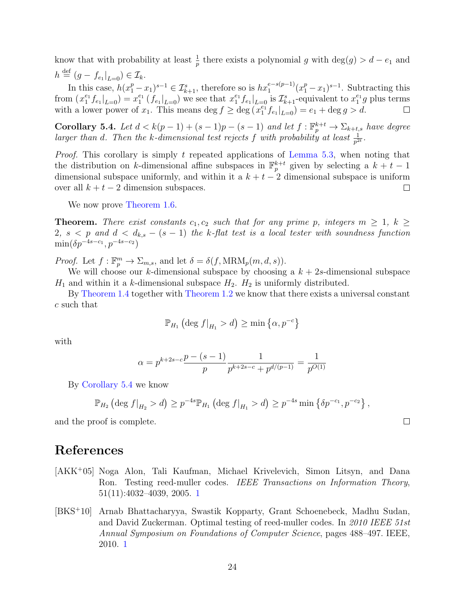know that with probability at least  $\frac{1}{p}$  there exists a polynomial g with  $\deg(g) > d - e_1$  and  $h \stackrel{\text{def}}{=} (g - f_{e_1}|_{L=0}) \in \mathcal{I}_k.$ 

In this case,  $h(x_1^p - x_1)^{s-1} \in \mathcal{I}_{k+1}^s$ , therefore so is  $hx_1^{e-s(p-1)}(x_1^p - x_1)^{s-1}$ . Subtracting this from  $(x_1^{e_1}f_{e_1}|_{L=0}) = x_1^{e_1} (f_{e_1}|_{L=0})$  we see that  $x_1^{e_1}f_{e_1}|_{L=0}$  is  $\mathcal{I}_{k+1}^s$ -equivalent to  $x_1^{e_1}g$  plus terms with a lower power of  $x_1$ . This means deg  $f \ge \deg \left( x_1^{e_1} f_{e_1} \big|_{L=0} \right) = e_1 + \deg g > d$ .

<span id="page-24-2"></span>Corollary 5.4. Let  $d < k(p-1) + (s-1)p - (s-1)$  and let  $f : \mathbb{F}_p^{k+t} \to \Sigma_{k+t,s}$  have degree larger than d. Then the k-dimensional test rejects f with probability at least  $\frac{1}{p^{2t}}$ .

*Proof.* This corollary is simply  $t$  repeated applications of [Lemma 5.3,](#page-23-0) when noting that the distribution on k-dimensional affine subspaces in  $\mathbb{F}_p^{k+t}$  given by selecting a  $k+t-1$ dimensional subspace uniformly, and within it a  $k + t - 2$  dimensional subspace is uniform over all  $k + t - 2$  dimension subspaces.  $\Box$ 

We now prove [Theorem 1.6.](#page-5-1)

**Theorem.** There exist constants  $c_1, c_2$  such that for any prime p, integers  $m \geq 1$ ,  $k \geq$ 2, s  $\langle p \rangle$  and  $d \langle d_{k,s} - (s-1) \rangle$  the k-flat test is a local tester with soundness function  $\min(\delta p^{-4s-c_1}, p^{-4s-c_2})$ 

*Proof.* Let  $f: \mathbb{F}_p^m \to \Sigma_{m,s}$ , and let  $\delta = \delta(f, \text{MRM}_p(m, d, s)).$ 

We will choose our k-dimensional subspace by choosing a  $k + 2s$ -dimensional subspace  $H_1$  and within it a k-dimensional subspace  $H_2$ .  $H_2$  is uniformly distributed.

By [Theorem 1.4](#page-4-1) together with [Theorem 1.2](#page-2-0) we know that there exists a universal constant c such that

$$
\mathbb{P}_{H_1} \left( \deg f|_{H_1} > d \right) \ge \min \left\{ \alpha, p^{-c} \right\}
$$

with

$$
\alpha = p^{k+2s-c} \frac{p-(s-1)}{p} \frac{1}{p^{k+2s-c} + p^{d/(p-1)}} = \frac{1}{p^{O(1)}}
$$

By [Corollary 5.4](#page-24-2) we know

$$
\mathbb{P}_{H_2} \left( \deg f|_{H_2} > d \right) \ge p^{-4s} \mathbb{P}_{H_1} \left( \deg f|_{H_1} > d \right) \ge p^{-4s} \min \left\{ \delta p^{-c_1}, p^{-c_2} \right\},
$$

 $\Box$ 

and the proof is complete.

## References

- <span id="page-24-0"></span>[AKK<sup>+</sup>05] Noga Alon, Tali Kaufman, Michael Krivelevich, Simon Litsyn, and Dana Ron. Testing reed-muller codes. IEEE Transactions on Information Theory, 51(11):4032–4039, 2005. [1](#page-1-0)
- <span id="page-24-1"></span>[BKS<sup>+</sup>10] Arnab Bhattacharyya, Swastik Kopparty, Grant Schoenebeck, Madhu Sudan, and David Zuckerman. Optimal testing of reed-muller codes. In 2010 IEEE 51st Annual Symposium on Foundations of Computer Science, pages 488–497. IEEE, 2010. [1](#page-1-0)